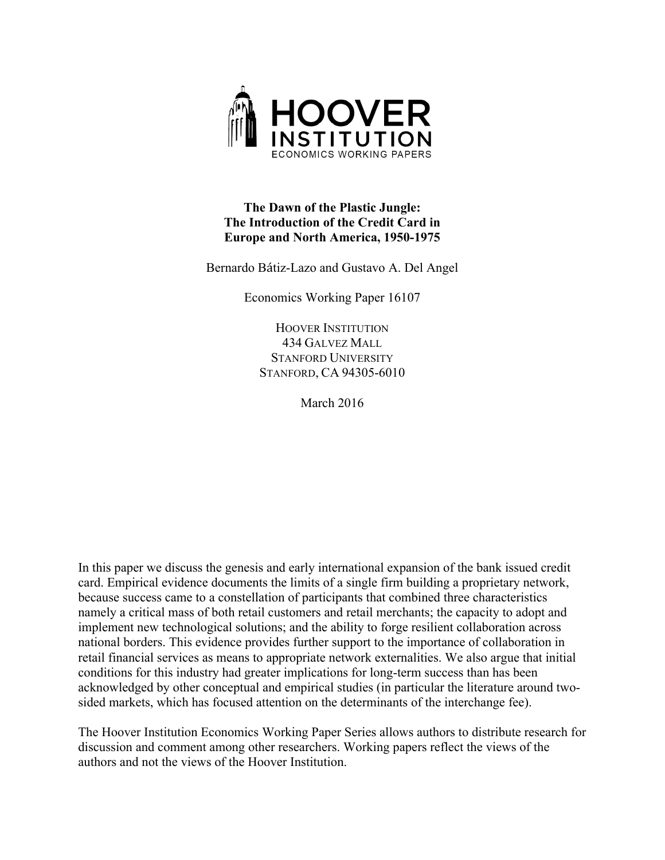

### **The Dawn of the Plastic Jungle: The Introduction of the Credit Card in Europe and North America, 1950-1975**

Bernardo Bátiz-Lazo and Gustavo A. Del Angel

Economics Working Paper 16107

HOOVER INSTITUTION 434 GALVEZ MALL STANFORD UNIVERSITY STANFORD, CA 94305-6010

March 2016

In this paper we discuss the genesis and early international expansion of the bank issued credit card. Empirical evidence documents the limits of a single firm building a proprietary network, because success came to a constellation of participants that combined three characteristics namely a critical mass of both retail customers and retail merchants; the capacity to adopt and implement new technological solutions; and the ability to forge resilient collaboration across national borders. This evidence provides further support to the importance of collaboration in retail financial services as means to appropriate network externalities. We also argue that initial conditions for this industry had greater implications for long-term success than has been acknowledged by other conceptual and empirical studies (in particular the literature around twosided markets, which has focused attention on the determinants of the interchange fee).

The Hoover Institution Economics Working Paper Series allows authors to distribute research for discussion and comment among other researchers. Working papers reflect the views of the authors and not the views of the Hoover Institution.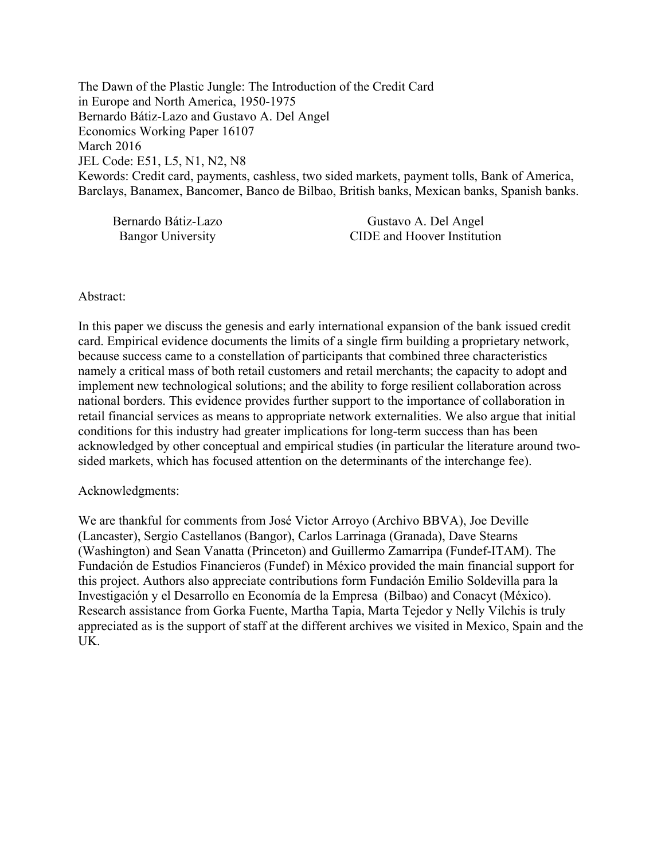The Dawn of the Plastic Jungle: The Introduction of the Credit Card in Europe and North America, 1950-1975 Bernardo Bátiz-Lazo and Gustavo A. Del Angel Economics Working Paper 16107 March 2016 JEL Code: E51, L5, N1, N2, N8 Kewords: Credit card, payments, cashless, two sided markets, payment tolls, Bank of America, Barclays, Banamex, Bancomer, Banco de Bilbao, British banks, Mexican banks, Spanish banks.

| Bernardo Bátiz-Lazo      | Gustavo A. Del Angel        |
|--------------------------|-----------------------------|
| <b>Bangor University</b> | CIDE and Hoover Institution |

#### Abstract:

In this paper we discuss the genesis and early international expansion of the bank issued credit card. Empirical evidence documents the limits of a single firm building a proprietary network, because success came to a constellation of participants that combined three characteristics namely a critical mass of both retail customers and retail merchants; the capacity to adopt and implement new technological solutions; and the ability to forge resilient collaboration across national borders. This evidence provides further support to the importance of collaboration in retail financial services as means to appropriate network externalities. We also argue that initial conditions for this industry had greater implications for long-term success than has been acknowledged by other conceptual and empirical studies (in particular the literature around twosided markets, which has focused attention on the determinants of the interchange fee).

#### Acknowledgments:

We are thankful for comments from José Victor Arroyo (Archivo BBVA), Joe Deville (Lancaster), Sergio Castellanos (Bangor), Carlos Larrinaga (Granada), Dave Stearns (Washington) and Sean Vanatta (Princeton) and Guillermo Zamarripa (Fundef-ITAM). The Fundación de Estudios Financieros (Fundef) in México provided the main financial support for this project. Authors also appreciate contributions form Fundación Emilio Soldevilla para la Investigación y el Desarrollo en Economía de la Empresa (Bilbao) and Conacyt (México). Research assistance from Gorka Fuente, Martha Tapia, Marta Tejedor y Nelly Vilchis is truly appreciated as is the support of staff at the different archives we visited in Mexico, Spain and the UK.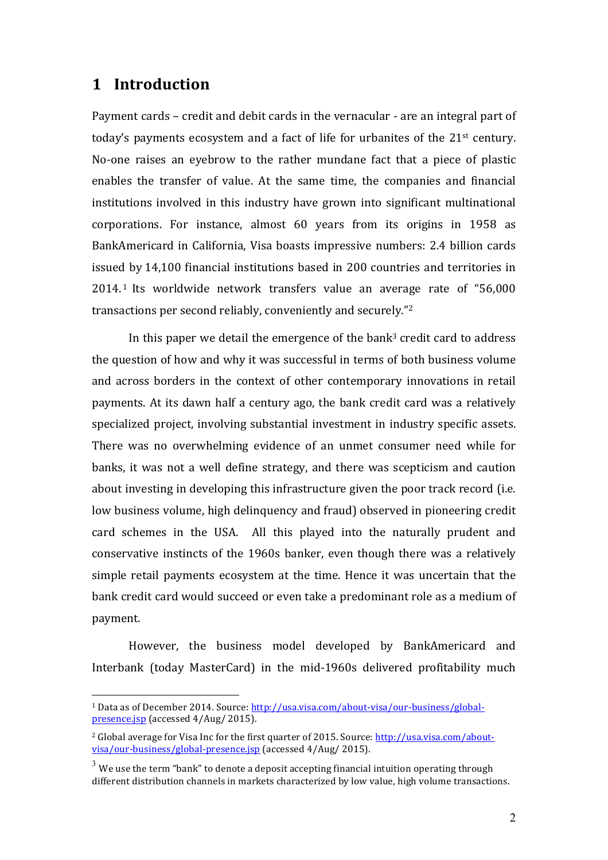# **1 Introduction**

 $\overline{a}$ 

Payment cards - credit and debit cards in the vernacular - are an integral part of today's payments ecosystem and a fact of life for urbanites of the  $21<sup>st</sup>$  century. No-one raises an eyebrow to the rather mundane fact that a piece of plastic enables the transfer of value. At the same time, the companies and financial institutions involved in this industry have grown into significant multinational corporations. For instance, almost 60 years from its origins in 1958 as BankAmericard in California, Visa boasts impressive numbers: 2.4 billion cards issued by 14,100 financial institutions based in 200 countries and territories in  $2014<sup>1</sup>$  Its worldwide network transfers value an average rate of "56,000 transactions per second reliably, conveniently and securely."<sup>2</sup>

In this paper we detail the emergence of the bank<sup>3</sup> credit card to address the question of how and why it was successful in terms of both business volume and across borders in the context of other contemporary innovations in retail payments. At its dawn half a century ago, the bank credit card was a relatively specialized project, involving substantial investment in industry specific assets. There was no overwhelming evidence of an unmet consumer need while for banks, it was not a well define strategy, and there was scepticism and caution about investing in developing this infrastructure given the poor track record (i.e. low business volume, high delinquency and fraud) observed in pioneering credit card schemes in the USA. All this played into the naturally prudent and conservative instincts of the 1960s banker, even though there was a relatively simple retail payments ecosystem at the time. Hence it was uncertain that the bank credit card would succeed or even take a predominant role as a medium of payment. 

However, the business model developed by BankAmericard and Interbank (today MasterCard) in the mid-1960s delivered profitability much

<sup>&</sup>lt;sup>1</sup> Data as of December 2014. Source: http://usa.visa.com/about-visa/our-business/globalpresence.jsp (accessed  $4/Aug/ 2015$ ).

 $2$  Global average for Visa Inc for the first quarter of 2015. Source: http://usa.visa.com/aboutvisa/our-business/global-presence.jsp (accessed 4/Aug/ 2015).

 $3$  We use the term "bank" to denote a deposit accepting financial intuition operating through different distribution channels in markets characterized by low value, high volume transactions.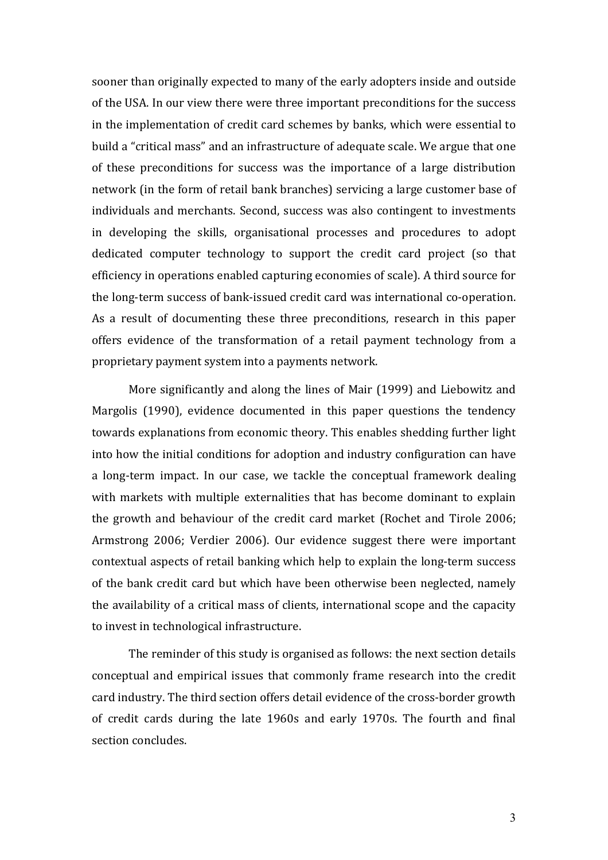sooner than originally expected to many of the early adopters inside and outside of the USA. In our view there were three important preconditions for the success in the implementation of credit card schemes by banks, which were essential to build a "critical mass" and an infrastructure of adequate scale. We argue that one of these preconditions for success was the importance of a large distribution network (in the form of retail bank branches) servicing a large customer base of individuals and merchants. Second, success was also contingent to investments in developing the skills, organisational processes and procedures to adopt dedicated computer technology to support the credit card project (so that efficiency in operations enabled capturing economies of scale). A third source for the long-term success of bank-issued credit card was international co-operation. As a result of documenting these three preconditions, research in this paper offers evidence of the transformation of a retail payment technology from a proprietary payment system into a payments network.

More significantly and along the lines of Mair  $(1999)$  and Liebowitz and Margolis (1990), evidence documented in this paper questions the tendency towards explanations from economic theory. This enables shedding further light into how the initial conditions for adoption and industry configuration can have a long-term impact. In our case, we tackle the conceptual framework dealing with markets with multiple externalities that has become dominant to explain the growth and behaviour of the credit card market (Rochet and Tirole 2006; Armstrong 2006; Verdier 2006). Our evidence suggest there were important contextual aspects of retail banking which help to explain the long-term success of the bank credit card but which have been otherwise been neglected, namely the availability of a critical mass of clients, international scope and the capacity to invest in technological infrastructure.

The reminder of this study is organised as follows: the next section details conceptual and empirical issues that commonly frame research into the credit card industry. The third section offers detail evidence of the cross-border growth of credit cards during the late 1960s and early 1970s. The fourth and final section concludes.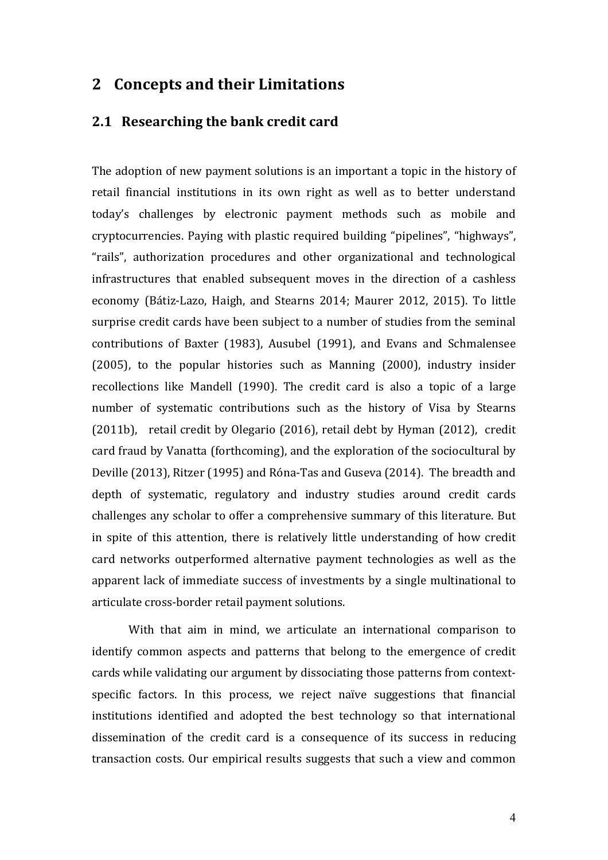# **2 Concepts and their Limitations**

## **2.1 Researching the bank credit card**

The adoption of new payment solutions is an important a topic in the history of retail financial institutions in its own right as well as to better understand today's challenges by electronic payment methods such as mobile and cryptocurrencies. Paying with plastic required building "pipelines", "highways", "rails", authorization procedures and other organizational and technological infrastructures that enabled subsequent moves in the direction of a cashless economy (Bátiz-Lazo, Haigh, and Stearns 2014; Maurer 2012, 2015). To little surprise credit cards have been subject to a number of studies from the seminal contributions of Baxter (1983), Ausubel (1991), and Evans and Schmalensee  $(2005)$ , to the popular histories such as Manning  $(2000)$ , industry insider recollections like Mandell (1990). The credit card is also a topic of a large number of systematic contributions such as the history of Visa by Stearns (2011b), retail credit by Olegario (2016), retail debt by Hyman (2012), credit card fraud by Vanatta (forthcoming), and the exploration of the sociocultural by Deville (2013), Ritzer (1995) and Róna-Tas and Guseva (2014). The breadth and depth of systematic, regulatory and industry studies around credit cards challenges any scholar to offer a comprehensive summary of this literature. But in spite of this attention, there is relatively little understanding of how credit card networks outperformed alternative payment technologies as well as the apparent lack of immediate success of investments by a single multinational to articulate cross-border retail payment solutions.

With that aim in mind, we articulate an international comparison to identify common aspects and patterns that belong to the emergence of credit cards while validating our argument by dissociating those patterns from contextspecific factors. In this process, we reject naïve suggestions that financial institutions identified and adopted the best technology so that international dissemination of the credit card is a consequence of its success in reducing transaction costs. Our empirical results suggests that such a view and common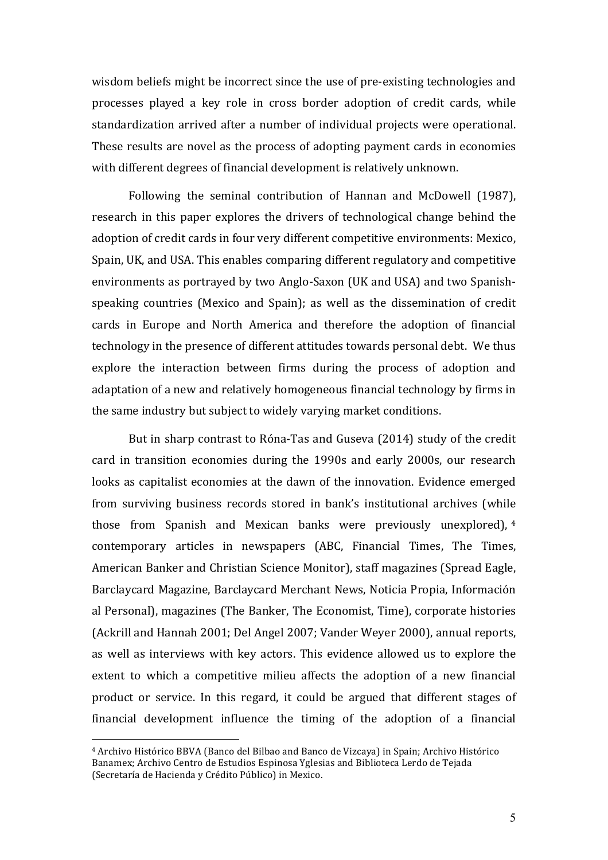wisdom beliefs might be incorrect since the use of pre-existing technologies and processes played a key role in cross border adoption of credit cards, while standardization arrived after a number of individual projects were operational. These results are novel as the process of adopting payment cards in economies with different degrees of financial development is relatively unknown.

Following the seminal contribution of Hannan and McDowell (1987), research in this paper explores the drivers of technological change behind the adoption of credit cards in four very different competitive environments: Mexico, Spain, UK, and USA. This enables comparing different regulatory and competitive environments as portrayed by two Anglo-Saxon (UK and USA) and two Spanishspeaking countries (Mexico and Spain); as well as the dissemination of credit cards in Europe and North America and therefore the adoption of financial technology in the presence of different attitudes towards personal debt. We thus explore the interaction between firms during the process of adoption and adaptation of a new and relatively homogeneous financial technology by firms in the same industry but subject to widely varying market conditions.

But in sharp contrast to Róna-Tas and Guseva (2014) study of the credit card in transition economies during the 1990s and early 2000s, our research looks as capitalist economies at the dawn of the innovation. Evidence emerged from surviving business records stored in bank's institutional archives (while those from Spanish and Mexican banks were previously unexplored),  $4\overline{ }$ contemporary articles in newspapers (ABC, Financial Times, The Times, American Banker and Christian Science Monitor), staff magazines (Spread Eagle, Barclaycard Magazine, Barclaycard Merchant News, Noticia Propia, Información al Personal), magazines (The Banker, The Economist, Time), corporate histories (Ackrill and Hannah 2001; Del Angel 2007; Vander Weyer 2000), annual reports, as well as interviews with key actors. This evidence allowed us to explore the extent to which a competitive milieu affects the adoption of a new financial product or service. In this regard, it could be argued that different stages of financial development influence the timing of the adoption of a financial

<sup>&</sup>lt;sup>4</sup> Archivo Histórico BBVA (Banco del Bilbao and Banco de Vizcaya) in Spain; Archivo Histórico Banamex; Archivo Centro de Estudios Espinosa Yglesias and Biblioteca Lerdo de Tejada (Secretaría de Hacienda y Crédito Público) in Mexico.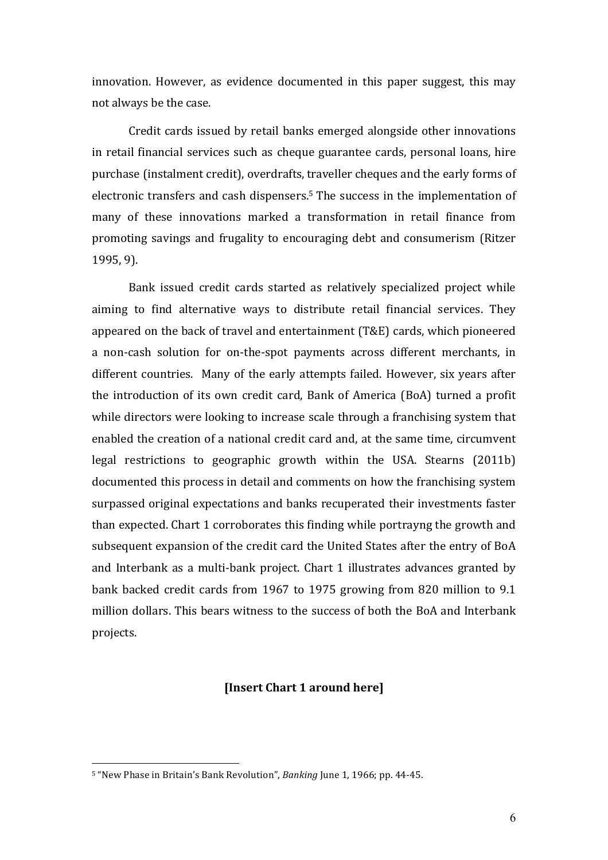innovation. However, as evidence documented in this paper suggest, this may not always be the case.

Credit cards issued by retail banks emerged alongside other innovations in retail financial services such as cheque guarantee cards, personal loans, hire purchase (instalment credit), overdrafts, traveller cheques and the early forms of electronic transfers and cash dispensers.<sup>5</sup> The success in the implementation of many of these innovations marked a transformation in retail finance from promoting savings and frugality to encouraging debt and consumerism (Ritzer 1995, 9). 

Bank issued credit cards started as relatively specialized project while aiming to find alternative ways to distribute retail financial services. They appeared on the back of travel and entertainment (T&E) cards, which pioneered a non-cash solution for on-the-spot payments across different merchants, in different countries. Many of the early attempts failed. However, six years after the introduction of its own credit card, Bank of America (BoA) turned a profit while directors were looking to increase scale through a franchising system that enabled the creation of a national credit card and, at the same time, circumvent legal restrictions to geographic growth within the USA. Stearns  $(2011b)$ documented this process in detail and comments on how the franchising system surpassed original expectations and banks recuperated their investments faster than expected. Chart 1 corroborates this finding while portrayng the growth and subsequent expansion of the credit card the United States after the entry of BoA and Interbank as a multi-bank project. Chart 1 illustrates advances granted by bank backed credit cards from 1967 to 1975 growing from 820 million to 9.1 million dollars. This bears witness to the success of both the BoA and Interbank projects.

#### **[Insert Chart 1 around here]**

<sup>&</sup>lt;sup>5</sup> "New Phase in Britain's Bank Revolution", *Banking* June 1, 1966; pp. 44-45.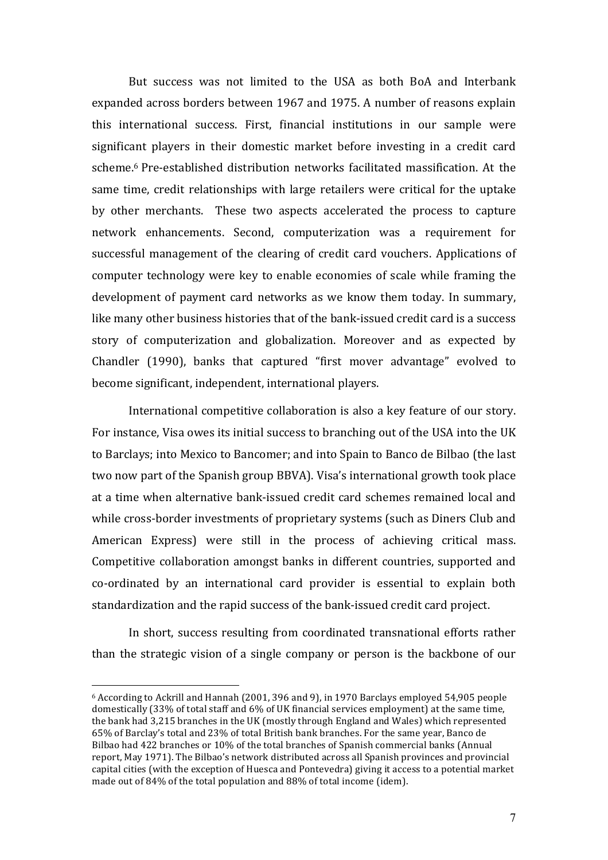But success was not limited to the USA as both BoA and Interbank expanded across borders between 1967 and 1975. A number of reasons explain this international success. First, financial institutions in our sample were significant players in their domestic market before investing in a credit card scheme.<sup>6</sup> Pre-established distribution networks facilitated massification. At the same time, credit relationships with large retailers were critical for the uptake by other merchants. These two aspects accelerated the process to capture network enhancements. Second, computerization was a requirement for successful management of the clearing of credit card vouchers. Applications of computer technology were key to enable economies of scale while framing the development of payment card networks as we know them today. In summary, like many other business histories that of the bank-issued credit card is a success story of computerization and globalization. Moreover and as expected by Chandler (1990), banks that captured "first mover advantage" evolved to become significant, independent, international players.

International competitive collaboration is also a key feature of our story. For instance, Visa owes its initial success to branching out of the USA into the UK to Barclays; into Mexico to Bancomer; and into Spain to Banco de Bilbao (the last two now part of the Spanish group BBVA). Visa's international growth took place at a time when alternative bank-issued credit card schemes remained local and while cross-border investments of proprietary systems (such as Diners Club and American Express) were still in the process of achieving critical mass. Competitive collaboration amongst banks in different countries, supported and co-ordinated by an international card provider is essential to explain both standardization and the rapid success of the bank-issued credit card project.

In short, success resulting from coordinated transnational efforts rather than the strategic vision of a single company or person is the backbone of our

 $6$  According to Ackrill and Hannah (2001, 396 and 9), in 1970 Barclays employed 54,905 people domestically (33% of total staff and 6% of UK financial services employment) at the same time, the bank had 3,215 branches in the UK (mostly through England and Wales) which represented 65% of Barclay's total and 23% of total British bank branches. For the same year, Banco de Bilbao had 422 branches or 10% of the total branches of Spanish commercial banks (Annual report, May 1971). The Bilbao's network distributed across all Spanish provinces and provincial capital cities (with the exception of Huesca and Pontevedra) giving it access to a potential market made out of  $84\%$  of the total population and  $88\%$  of total income (idem).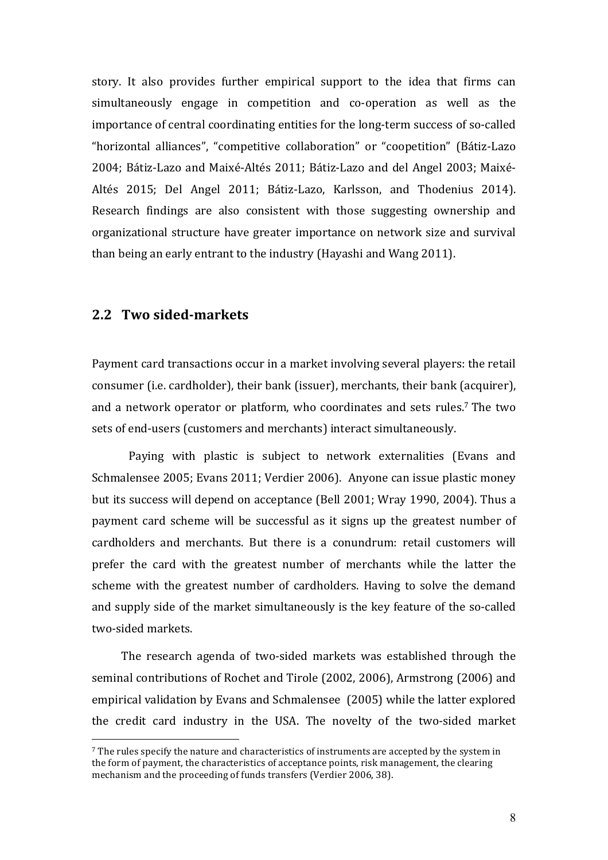story. It also provides further empirical support to the idea that firms can simultaneously engage in competition and co-operation as well as the importance of central coordinating entities for the long-term success of so-called "horizontal alliances", "competitive collaboration" or "coopetition" (Bátiz-Lazo 2004; Bátiz-Lazo and Maixé-Altés 2011; Bátiz-Lazo and del Angel 2003; Maixé-Altés 2015; Del Angel 2011; Bátiz-Lazo, Karlsson, and Thodenius 2014). Research findings are also consistent with those suggesting ownership and organizational structure have greater importance on network size and survival than being an early entrant to the industry (Hayashi and Wang 2011).

## **2.2 Two sided-markets**

 $\overline{a}$ 

Payment card transactions occur in a market involving several players: the retail consumer (i.e. cardholder), their bank (issuer), merchants, their bank (acquirer), and a network operator or platform, who coordinates and sets rules.<sup>7</sup> The two sets of end-users (customers and merchants) interact simultaneously.

Paying with plastic is subject to network externalities (Evans and Schmalensee 2005; Evans 2011; Verdier 2006). Anyone can issue plastic money but its success will depend on acceptance (Bell 2001; Wray 1990, 2004). Thus a payment card scheme will be successful as it signs up the greatest number of cardholders and merchants. But there is a conundrum: retail customers will prefer the card with the greatest number of merchants while the latter the scheme with the greatest number of cardholders. Having to solve the demand and supply side of the market simultaneously is the key feature of the so-called two-sided markets.

The research agenda of two-sided markets was established through the seminal contributions of Rochet and Tirole (2002, 2006), Armstrong (2006) and empirical validation by Evans and Schmalensee (2005) while the latter explored the credit card industry in the USA. The novelty of the two-sided market

 $<sup>7</sup>$  The rules specify the nature and characteristics of instruments are accepted by the system in</sup> the form of payment, the characteristics of acceptance points, risk management, the clearing mechanism and the proceeding of funds transfers (Verdier 2006, 38).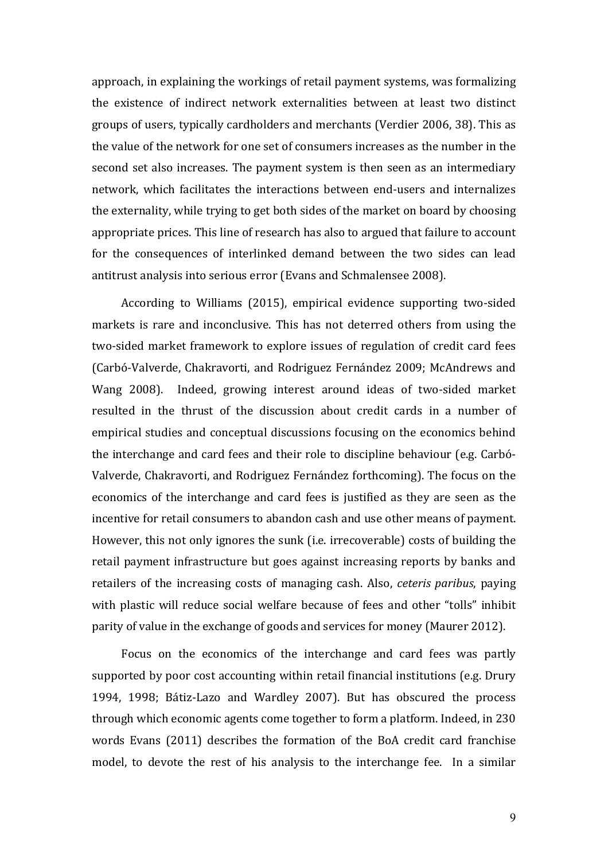approach, in explaining the workings of retail payment systems, was formalizing the existence of indirect network externalities between at least two distinct groups of users, typically cardholders and merchants (Verdier 2006, 38). This as the value of the network for one set of consumers increases as the number in the second set also increases. The payment system is then seen as an intermediary network, which facilitates the interactions between end-users and internalizes the externality, while trying to get both sides of the market on board by choosing appropriate prices. This line of research has also to argued that failure to account for the consequences of interlinked demand between the two sides can lead antitrust analysis into serious error (Evans and Schmalensee 2008).

According to Williams (2015), empirical evidence supporting two-sided markets is rare and inconclusive. This has not deterred others from using the two-sided market framework to explore issues of regulation of credit card fees (Carbó-Valverde, Chakravorti, and Rodriguez Fernández 2009; McAndrews and Wang 2008). Indeed, growing interest around ideas of two-sided market resulted in the thrust of the discussion about credit cards in a number of empirical studies and conceptual discussions focusing on the economics behind the interchange and card fees and their role to discipline behaviour (e.g. Carbó-Valverde, Chakravorti, and Rodriguez Fernández forthcoming). The focus on the economics of the interchange and card fees is justified as they are seen as the incentive for retail consumers to abandon cash and use other means of payment. However, this not only ignores the sunk (i.e. irrecoverable) costs of building the retail payment infrastructure but goes against increasing reports by banks and retailers of the increasing costs of managing cash. Also, *ceteris paribus*, paying with plastic will reduce social welfare because of fees and other "tolls" inhibit parity of value in the exchange of goods and services for money (Maurer 2012).

Focus on the economics of the interchange and card fees was partly supported by poor cost accounting within retail financial institutions (e.g. Drury 1994, 1998; Bátiz-Lazo and Wardley 2007). But has obscured the process through which economic agents come together to form a platform. Indeed, in 230 words Evans (2011) describes the formation of the BoA credit card franchise model, to devote the rest of his analysis to the interchange fee. In a similar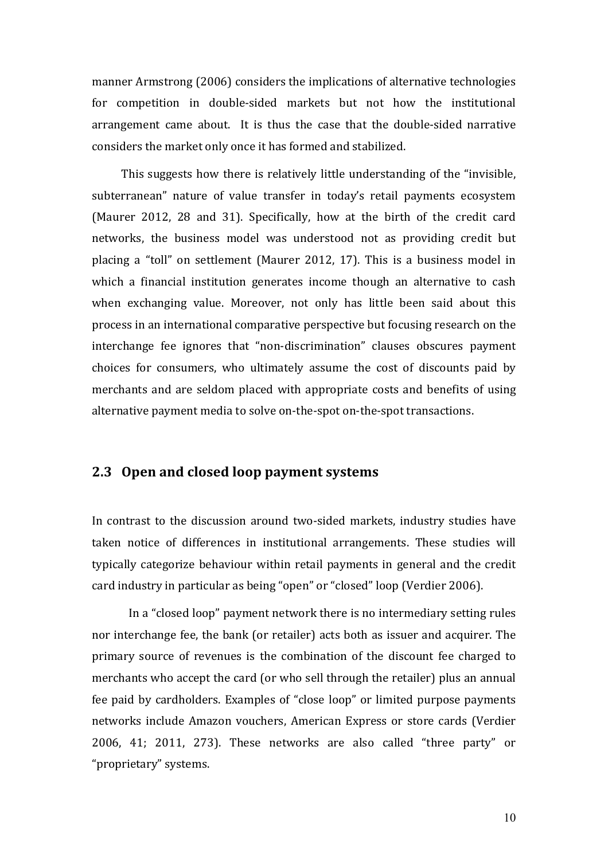manner Armstrong (2006) considers the implications of alternative technologies for competition in double-sided markets but not how the institutional arrangement came about. It is thus the case that the double-sided narrative considers the market only once it has formed and stabilized.

This suggests how there is relatively little understanding of the "invisible, subterranean" nature of value transfer in today's retail payments ecosystem (Maurer 2012, 28 and 31). Specifically, how at the birth of the credit card networks, the business model was understood not as providing credit but placing a "toll" on settlement (Maurer 2012, 17). This is a business model in which a financial institution generates income though an alternative to cash when exchanging value. Moreover, not only has little been said about this process in an international comparative perspective but focusing research on the interchange fee ignores that "non-discrimination" clauses obscures payment choices for consumers, who ultimately assume the cost of discounts paid by merchants and are seldom placed with appropriate costs and benefits of using alternative payment media to solve on-the-spot on-the-spot transactions.

## **2.3** Open and closed loop payment systems

In contrast to the discussion around two-sided markets, industry studies have taken notice of differences in institutional arrangements. These studies will typically categorize behaviour within retail payments in general and the credit card industry in particular as being "open" or "closed" loop (Verdier 2006).

In a "closed loop" payment network there is no intermediary setting rules nor interchange fee, the bank (or retailer) acts both as issuer and acquirer. The primary source of revenues is the combination of the discount fee charged to merchants who accept the card (or who sell through the retailer) plus an annual fee paid by cardholders. Examples of "close loop" or limited purpose payments networks include Amazon vouchers, American Express or store cards (Verdier 2006, 41; 2011, 273). These networks are also called "three party" or "proprietary" systems.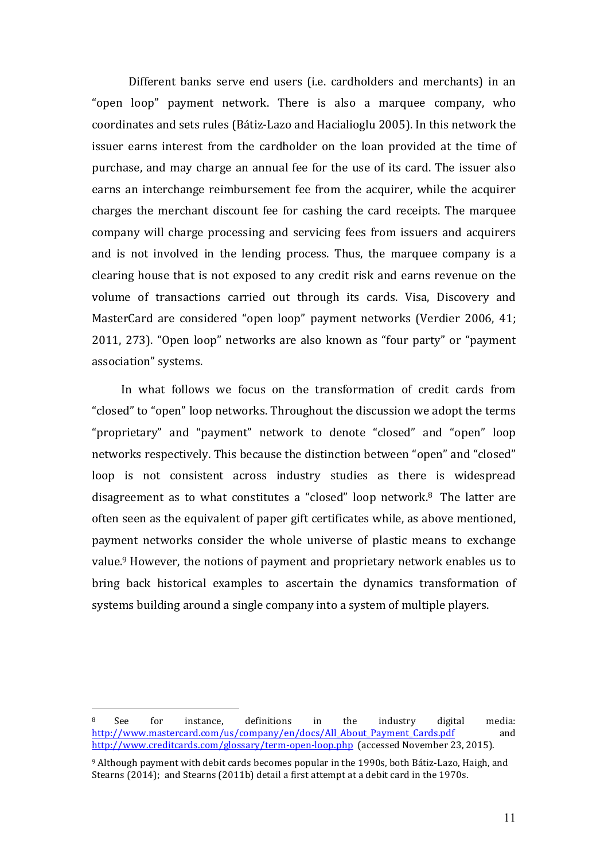Different banks serve end users (i.e. cardholders and merchants) in an "open loop" payment network. There is also a marquee company, who coordinates and sets rules (Bátiz-Lazo and Hacialioglu 2005). In this network the issuer earns interest from the cardholder on the loan provided at the time of purchase, and may charge an annual fee for the use of its card. The issuer also earns an interchange reimbursement fee from the acquirer, while the acquirer charges the merchant discount fee for cashing the card receipts. The marquee company will charge processing and servicing fees from issuers and acquirers and is not involved in the lending process. Thus, the marquee company is a clearing house that is not exposed to any credit risk and earns revenue on the volume of transactions carried out through its cards. Visa, Discovery and MasterCard are considered "open loop" payment networks (Verdier 2006, 41; 2011, 273). "Open loop" networks are also known as "four party" or "payment association" systems.

In what follows we focus on the transformation of credit cards from "closed" to "open" loop networks. Throughout the discussion we adopt the terms "proprietary" and "payment" network to denote "closed" and "open" loop networks respectively. This because the distinction between "open" and "closed" loop is not consistent across industry studies as there is widespread disagreement as to what constitutes a "closed" loop network.<sup>8</sup> The latter are often seen as the equivalent of paper gift certificates while, as above mentioned, payment networks consider the whole universe of plastic means to exchange value.<sup>9</sup> However, the notions of payment and proprietary network enables us to bring back historical examples to ascertain the dynamics transformation of systems building around a single company into a system of multiple players.

 $8$  See for instance, definitions in the industry digital media: http://www.mastercard.com/us/company/en/docs/All\_About\_Payment\_Cards.pdf and http://www.creditcards.com/glossary/term-open-loop.php (accessed November 23, 2015).

 $9$  Although payment with debit cards becomes popular in the 1990s, both Bátiz-Lazo, Haigh, and Stearns (2014); and Stearns (2011b) detail a first attempt at a debit card in the 1970s.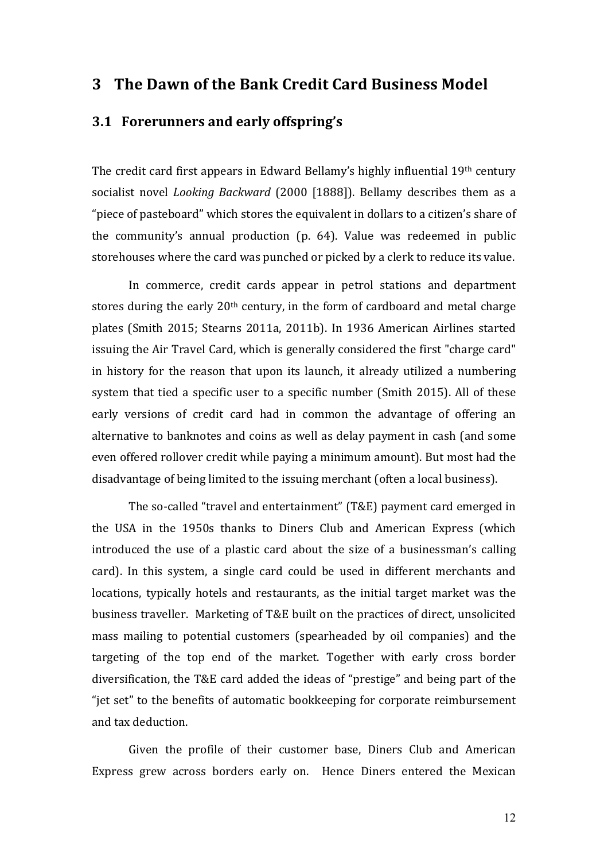# **3 The Dawn of the Bank Credit Card Business Model**

## **3.1 Forerunners and early offspring's**

The credit card first appears in Edward Bellamy's highly influential 19th century socialist novel *Looking Backward* (2000 [1888]). Bellamy describes them as a "piece of pasteboard" which stores the equivalent in dollars to a citizen's share of the community's annual production  $(p. 64)$ . Value was redeemed in public storehouses where the card was punched or picked by a clerk to reduce its value.

In commerce, credit cards appear in petrol stations and department stores during the early  $20<sup>th</sup>$  century, in the form of cardboard and metal charge plates (Smith 2015; Stearns 2011a, 2011b). In 1936 American Airlines started issuing the Air Travel Card, which is generally considered the first "charge card" in history for the reason that upon its launch, it already utilized a numbering system that tied a specific user to a specific number (Smith 2015). All of these early versions of credit card had in common the advantage of offering an alternative to banknotes and coins as well as delay payment in cash (and some even offered rollover credit while paying a minimum amount). But most had the disadvantage of being limited to the issuing merchant (often a local business).

The so-called "travel and entertainment" (T&E) payment card emerged in the USA in the 1950s thanks to Diners Club and American Express (which introduced the use of a plastic card about the size of a businessman's calling card). In this system, a single card could be used in different merchants and locations, typically hotels and restaurants, as the initial target market was the business traveller. Marketing of T&E built on the practices of direct, unsolicited mass mailing to potential customers (spearheaded by oil companies) and the targeting of the top end of the market. Together with early cross border diversification, the T&E card added the ideas of "prestige" and being part of the "jet set" to the benefits of automatic bookkeeping for corporate reimbursement and tax deduction.

Given the profile of their customer base, Diners Club and American Express grew across borders early on. Hence Diners entered the Mexican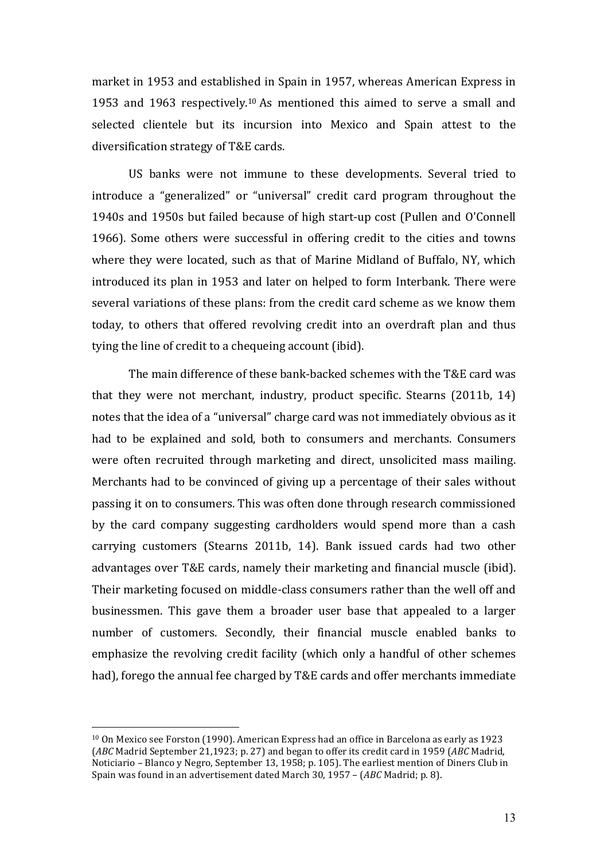market in 1953 and established in Spain in 1957, whereas American Express in 1953 and 1963 respectively.<sup>10</sup> As mentioned this aimed to serve a small and selected clientele but its incursion into Mexico and Spain attest to the diversification strategy of T&E cards.

US banks were not immune to these developments. Several tried to introduce a "generalized" or "universal" credit card program throughout the 1940s and 1950s but failed because of high start-up cost (Pullen and O'Connell 1966). Some others were successful in offering credit to the cities and towns where they were located, such as that of Marine Midland of Buffalo, NY, which introduced its plan in 1953 and later on helped to form Interbank. There were several variations of these plans: from the credit card scheme as we know them today, to others that offered revolving credit into an overdraft plan and thus tying the line of credit to a chequeing account (ibid).

The main difference of these bank-backed schemes with the T&E card was that they were not merchant, industry, product specific. Stearns (2011b, 14) notes that the idea of a "universal" charge card was not immediately obvious as it had to be explained and sold, both to consumers and merchants. Consumers were often recruited through marketing and direct, unsolicited mass mailing. Merchants had to be convinced of giving up a percentage of their sales without passing it on to consumers. This was often done through research commissioned by the card company suggesting cardholders would spend more than a cash carrying customers (Stearns 2011b, 14). Bank issued cards had two other advantages over T&E cards, namely their marketing and financial muscle (ibid). Their marketing focused on middle-class consumers rather than the well off and businessmen. This gave them a broader user base that appealed to a larger number of customers. Secondly, their financial muscle enabled banks to emphasize the revolving credit facility (which only a handful of other schemes had), forego the annual fee charged by T&E cards and offer merchants immediate

 $10$  On Mexico see Forston (1990). American Express had an office in Barcelona as early as 1923 (*ABC* Madrid September 21.1923; p. 27) and began to offer its credit card in 1959 (*ABC* Madrid, Noticiario – Blanco y Negro, September 13, 1958; p. 105). The earliest mention of Diners Club in Spain was found in an advertisement dated March 30, 1957 – (*ABC* Madrid; p. 8).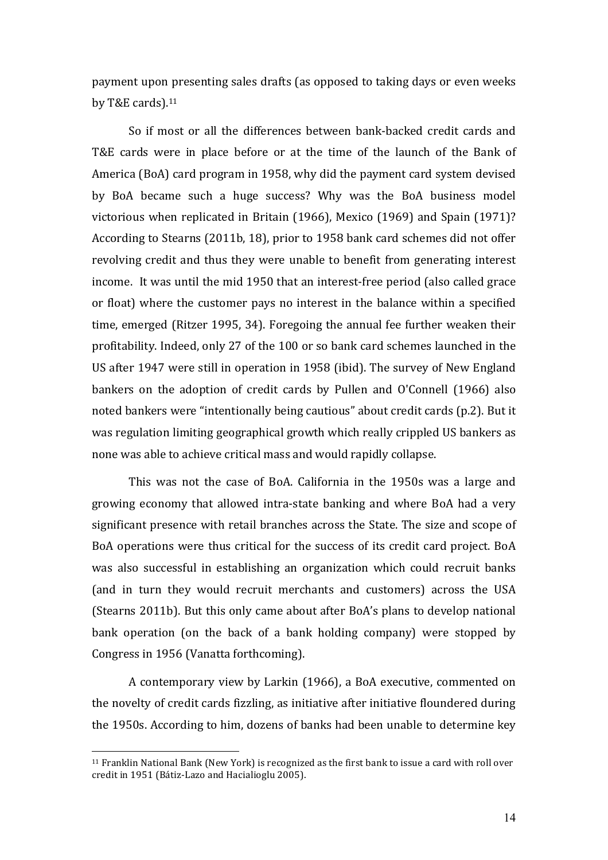payment upon presenting sales drafts (as opposed to taking days or even weeks by T&E cards). $11$ 

So if most or all the differences between bank-backed credit cards and T&E cards were in place before or at the time of the launch of the Bank of America (BoA) card program in 1958, why did the payment card system devised by BoA became such a huge success? Why was the BoA business model victorious when replicated in Britain  $(1966)$ , Mexico  $(1969)$  and Spain  $(1971)$ ? According to Stearns (2011b, 18), prior to 1958 bank card schemes did not offer revolving credit and thus they were unable to benefit from generating interest income. It was until the mid 1950 that an interest-free period (also called grace or float) where the customer pays no interest in the balance within a specified time, emerged (Ritzer 1995, 34). Foregoing the annual fee further weaken their profitability. Indeed, only 27 of the 100 or so bank card schemes launched in the US after 1947 were still in operation in 1958 (ibid). The survey of New England bankers on the adoption of credit cards by Pullen and O'Connell (1966) also noted bankers were "intentionally being cautious" about credit cards (p.2). But it was regulation limiting geographical growth which really crippled US bankers as none was able to achieve critical mass and would rapidly collapse.

This was not the case of BoA. California in the 1950s was a large and growing economy that allowed intra-state banking and where BoA had a very significant presence with retail branches across the State. The size and scope of BoA operations were thus critical for the success of its credit card project. BoA was also successful in establishing an organization which could recruit banks (and in turn they would recruit merchants and customers) across the USA (Stearns 2011b). But this only came about after BoA's plans to develop national bank operation (on the back of a bank holding company) were stopped by Congress in 1956 (Vanatta forthcoming).

A contemporary view by Larkin (1966), a BoA executive, commented on the novelty of credit cards fizzling, as initiative after initiative floundered during the 1950s. According to him, dozens of banks had been unable to determine key

 $11$  Franklin National Bank (New York) is recognized as the first bank to issue a card with roll over credit in 1951 (Bátiz-Lazo and Hacialioglu 2005).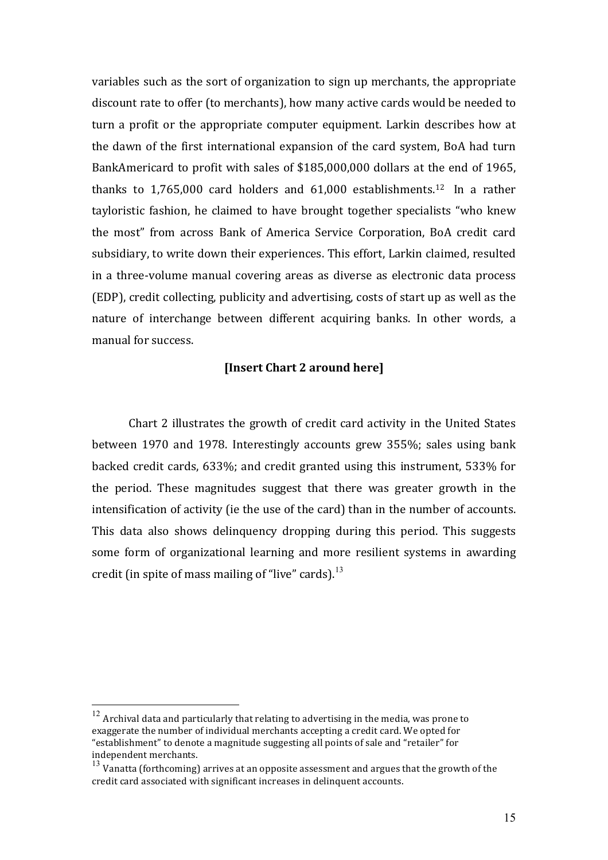variables such as the sort of organization to sign up merchants, the appropriate discount rate to offer (to merchants), how many active cards would be needed to turn a profit or the appropriate computer equipment. Larkin describes how at the dawn of the first international expansion of the card system, BoA had turn BankAmericard to profit with sales of \$185,000,000 dollars at the end of 1965, thanks to  $1,765,000$  card holders and  $61,000$  establishments.<sup>12</sup> In a rather tayloristic fashion, he claimed to have brought together specialists "who knew the most" from across Bank of America Service Corporation, BoA credit card subsidiary, to write down their experiences. This effort, Larkin claimed, resulted in a three-volume manual covering areas as diverse as electronic data process (EDP), credit collecting, publicity and advertising, costs of start up as well as the nature of interchange between different acquiring banks. In other words, a manual for success.

### **[Insert Chart 2 around here]**

Chart 2 illustrates the growth of credit card activity in the United States between 1970 and 1978. Interestingly accounts grew 355%; sales using bank backed credit cards, 633%; and credit granted using this instrument, 533% for the period. These magnitudes suggest that there was greater growth in the intensification of activity (ie the use of the card) than in the number of accounts. This data also shows delinguency dropping during this period. This suggests some form of organizational learning and more resilient systems in awarding credit (in spite of mass mailing of "live" cards).<sup>13</sup>

 $12$  Archival data and particularly that relating to advertising in the media, was prone to exaggerate the number of individual merchants accepting a credit card. We opted for "establishment" to denote a magnitude suggesting all points of sale and "retailer" for independent merchants.

 $13$  Vanatta (forthcoming) arrives at an opposite assessment and argues that the growth of the credit card associated with significant increases in delinquent accounts.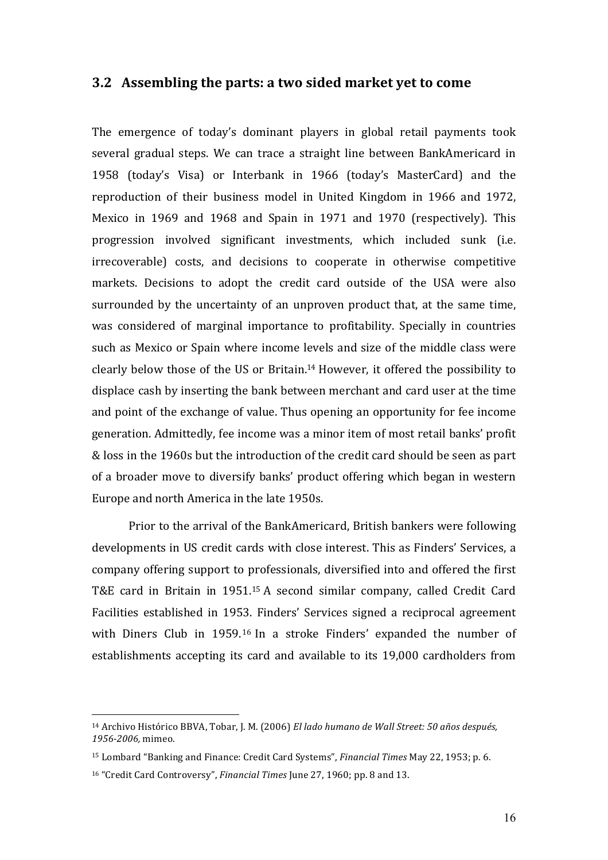#### **3.2** Assembling the parts: a two sided market yet to come

The emergence of today's dominant players in global retail payments took several gradual steps. We can trace a straight line between BankAmericard in 1958 (today's Visa) or Interbank in 1966 (today's MasterCard) and the reproduction of their business model in United Kingdom in 1966 and 1972, Mexico in 1969 and 1968 and Spain in 1971 and 1970 (respectively). This progression involved significant investments, which included sunk (i.e. irrecoverable) costs, and decisions to cooperate in otherwise competitive markets. Decisions to adopt the credit card outside of the USA were also surrounded by the uncertainty of an unproven product that, at the same time, was considered of marginal importance to profitability. Specially in countries such as Mexico or Spain where income levels and size of the middle class were clearly below those of the US or Britain.<sup>14</sup> However, it offered the possibility to displace cash by inserting the bank between merchant and card user at the time and point of the exchange of value. Thus opening an opportunity for fee income generation. Admittedly, fee income was a minor item of most retail banks' profit & loss in the 1960s but the introduction of the credit card should be seen as part of a broader move to diversify banks' product offering which began in western Europe and north America in the late 1950s.

Prior to the arrival of the BankAmericard, British bankers were following developments in US credit cards with close interest. This as Finders' Services, a company offering support to professionals, diversified into and offered the first T&E card in Britain in 1951.<sup>15</sup> A second similar company, called Credit Card Facilities established in 1953. Finders' Services signed a reciprocal agreement with Diners Club in 1959.<sup>16</sup> In a stroke Finders' expanded the number of establishments accepting its card and available to its 19,000 cardholders from

<sup>&</sup>lt;sup>14</sup> Archivo Histórico BBVA, Tobar, J. M. (2006) *El lado humano de Wall Street: 50 años después, 1956-2006,* mimeo. 

<sup>&</sup>lt;sup>15</sup> Lombard "Banking and Finance: Credit Card Systems", *Financial Times* May 22, 1953; p. 6.

<sup>&</sup>lt;sup>16</sup> "Credit Card Controversy", *Financial Times* June 27, 1960; pp. 8 and 13.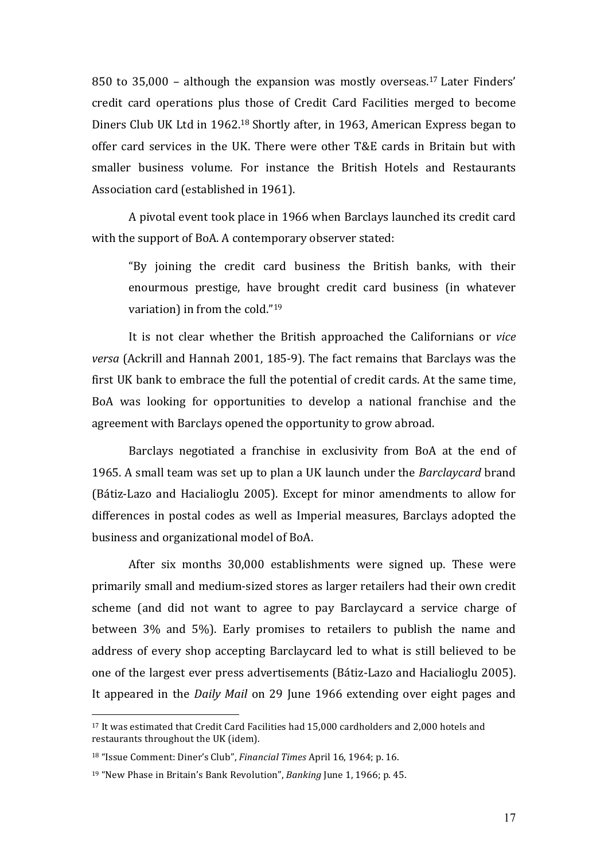850 to  $35,000$  – although the expansion was mostly overseas.<sup>17</sup> Later Finders' credit card operations plus those of Credit Card Facilities merged to become Diners Club UK Ltd in 1962.<sup>18</sup> Shortly after, in 1963, American Express began to offer card services in the UK. There were other T&E cards in Britain but with smaller business volume. For instance the British Hotels and Restaurants Association card (established in 1961).

A pivotal event took place in 1966 when Barclays launched its credit card with the support of BoA. A contemporary observer stated:

"By joining the credit card business the British banks, with their enourmous prestige, have brought credit card business (in whatever variation) in from the cold." $19$ 

It is not clear whether the British approached the Californians or *vice versa* (Ackrill and Hannah 2001, 185-9). The fact remains that Barclays was the first UK bank to embrace the full the potential of credit cards. At the same time, BoA was looking for opportunities to develop a national franchise and the agreement with Barclays opened the opportunity to grow abroad.

Barclays negotiated a franchise in exclusivity from BoA at the end of 1965. A small team was set up to plan a UK launch under the *Barclaycard* brand (Bátiz-Lazo and Hacialioglu 2005). Except for minor amendments to allow for differences in postal codes as well as Imperial measures, Barclays adopted the business and organizational model of BoA.

After six months 30,000 establishments were signed up. These were primarily small and medium-sized stores as larger retailers had their own credit scheme (and did not want to agree to pay Barclaycard a service charge of between 3% and 5%). Early promises to retailers to publish the name and address of every shop accepting Barclaycard led to what is still believed to be one of the largest ever press advertisements (Bátiz-Lazo and Hacialioglu 2005). It appeared in the *Daily Mail* on 29 June 1966 extending over eight pages and

<sup>&</sup>lt;sup>17</sup> It was estimated that Credit Card Facilities had 15,000 cardholders and 2,000 hotels and restaurants throughout the UK (idem).

<sup>&</sup>lt;sup>18</sup> "Issue Comment: Diner's Club", *Financial Times* April 16, 1964; p. 16.

<sup>&</sup>lt;sup>19</sup> "New Phase in Britain's Bank Revolution", *Banking* June 1, 1966; p. 45.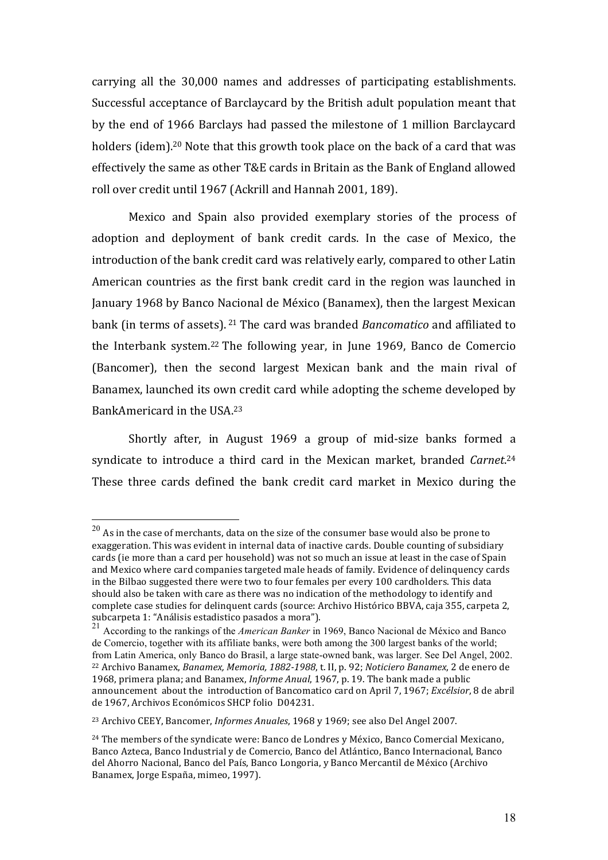carrying all the 30,000 names and addresses of participating establishments. Successful acceptance of Barclaycard by the British adult population meant that by the end of 1966 Barclays had passed the milestone of 1 million Barclaycard holders (idem).<sup>20</sup> Note that this growth took place on the back of a card that was effectively the same as other T&E cards in Britain as the Bank of England allowed roll over credit until 1967 (Ackrill and Hannah 2001, 189).

Mexico and Spain also provided exemplary stories of the process of adoption and deployment of bank credit cards. In the case of Mexico, the introduction of the bank credit card was relatively early, compared to other Latin American countries as the first bank credit card in the region was launched in January 1968 by Banco Nacional de México (Banamex), then the largest Mexican bank (in terms of assets). <sup>21</sup> The card was branded *Bancomatico* and affiliated to the Interbank system.<sup>22</sup> The following year, in June 1969, Banco de Comercio (Bancomer), then the second largest Mexican bank and the main rival of Banamex, launched its own credit card while adopting the scheme developed by BankAmericard in the USA.<sup>23</sup>

Shortly after, in August 1969 a group of mid-size banks formed a syndicate to introduce a third card in the Mexican market, branded *Carnet*.<sup>24</sup> These three cards defined the bank credit card market in Mexico during the

 $^{20}$  As in the case of merchants, data on the size of the consumer base would also be prone to exaggeration. This was evident in internal data of inactive cards. Double counting of subsidiary cards (ie more than a card per household) was not so much an issue at least in the case of Spain and Mexico where card companies targeted male heads of family. Evidence of delinquency cards in the Bilbao suggested there were two to four females per every 100 cardholders. This data should also be taken with care as there was no indication of the methodology to identify and complete case studies for delinquent cards (source: Archivo Histórico BBVA, caja 355, carpeta 2, subcarpeta 1: "Análisis estadistico pasados a mora").

<sup>21</sup> According to the rankings of the *American Banker* in 1969, Banco Nacional de México and Banco de Comercio, together with its affiliate banks, were both among the 300 largest banks of the world; from Latin America, only Banco do Brasil, a large state-owned bank, was larger. See Del Angel, 2002. <sup>22</sup> Archivo Banamex, *Banamex, Memoria, 1882-1988*, t. II, p. 92; *Noticiero Banamex*, 2 de enero de 1968, primera plana; and Banamex, *Informe Anual*, 1967, p. 19. The bank made a public announcement about the introduction of Bancomatico card on April 7, 1967; *Excélsior*, 8 de abril de 1967, Archivos Económicos SHCP folio D04231.

<sup>&</sup>lt;sup>23</sup> Archivo CEEY, Bancomer, *Informes Anuales*, 1968 y 1969; see also Del Angel 2007.

 $24$  The members of the syndicate were: Banco de Londres y México, Banco Comercial Mexicano, Banco Azteca, Banco Industrial y de Comercio, Banco del Atlántico, Banco Internacional, Banco del Ahorro Nacional, Banco del País, Banco Longoria, y Banco Mercantil de México (Archivo Banamex, Jorge España, mimeo, 1997).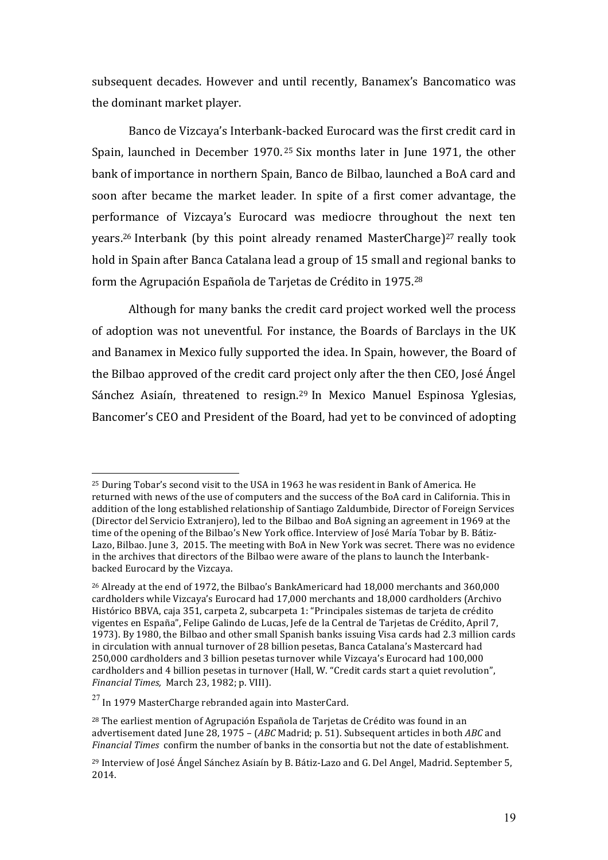subsequent decades. However and until recently, Banamex's Bancomatico was the dominant market player.

Banco de Vizcaya's Interbank-backed Eurocard was the first credit card in Spain, launched in December 1970.<sup>25</sup> Six months later in June 1971, the other bank of importance in northern Spain, Banco de Bilbao, launched a BoA card and soon after became the market leader. In spite of a first comer advantage, the performance of Vizcaya's Eurocard was mediocre throughout the next ten years.<sup>26</sup> Interbank (by this point already renamed MasterCharge)<sup>27</sup> really took hold in Spain after Banca Catalana lead a group of 15 small and regional banks to form the Agrupación Española de Tarjetas de Crédito in 1975.<sup>28</sup>

Although for many banks the credit card project worked well the process of adoption was not uneventful. For instance, the Boards of Barclays in the UK and Banamex in Mexico fully supported the idea. In Spain, however, the Board of the Bilbao approved of the credit card project only after the then CEO, José Ángel Sánchez Asiaín, threatened to resign.<sup>29</sup> In Mexico Manuel Espinosa Yglesias, Bancomer's CEO and President of the Board, had yet to be convinced of adopting

 $25$  During Tobar's second visit to the USA in 1963 he was resident in Bank of America. He returned with news of the use of computers and the success of the BoA card in California. This in addition of the long established relationship of Santiago Zaldumbide, Director of Foreign Services (Director del Servicio Extraniero), led to the Bilbao and BoA signing an agreement in 1969 at the time of the opening of the Bilbao's New York office. Interview of José María Tobar by B. Bátiz-Lazo, Bilbao. June 3, 2015. The meeting with BoA in New York was secret. There was no evidence in the archives that directors of the Bilbao were aware of the plans to launch the Interbankbacked Eurocard by the Vizcaya.

 $^{26}$  Already at the end of 1972, the Bilbao's BankAmericard had 18,000 merchants and 360,000 cardholders while Vizcaya's Eurocard had 17,000 merchants and 18,000 cardholders (Archivo Histórico BBVA, caja 351, carpeta 2, subcarpeta 1: "Principales sistemas de tarieta de crédito vigentes en España", Felipe Galindo de Lucas, Jefe de la Central de Tarjetas de Crédito, April 7, 1973). By 1980, the Bilbao and other small Spanish banks issuing Visa cards had 2.3 million cards in circulation with annual turnover of 28 billion pesetas, Banca Catalana's Mastercard had 250,000 cardholders and 3 billion pesetas turnover while Vizcaya's Eurocard had 100,000 cardholders and 4 billion pesetas in turnover (Hall, W. "Credit cards start a quiet revolution", *Financial Times, March 23, 1982; p. VIII).* 

 $^{27}$  In 1979 MasterCharge rebranded again into MasterCard.

 $28$  The earliest mention of Agrupación Española de Tarjetas de Crédito was found in an advertisement dated Iune 28, 1975 – (*ABC* Madrid; p. 51). Subsequent articles in both *ABC* and *Financial Times* confirm the number of banks in the consortia but not the date of establishment.

<sup>&</sup>lt;sup>29</sup> Interview of José Ángel Sánchez Asiaín by B. Bátiz-Lazo and G. Del Angel, Madrid. September 5, 2014.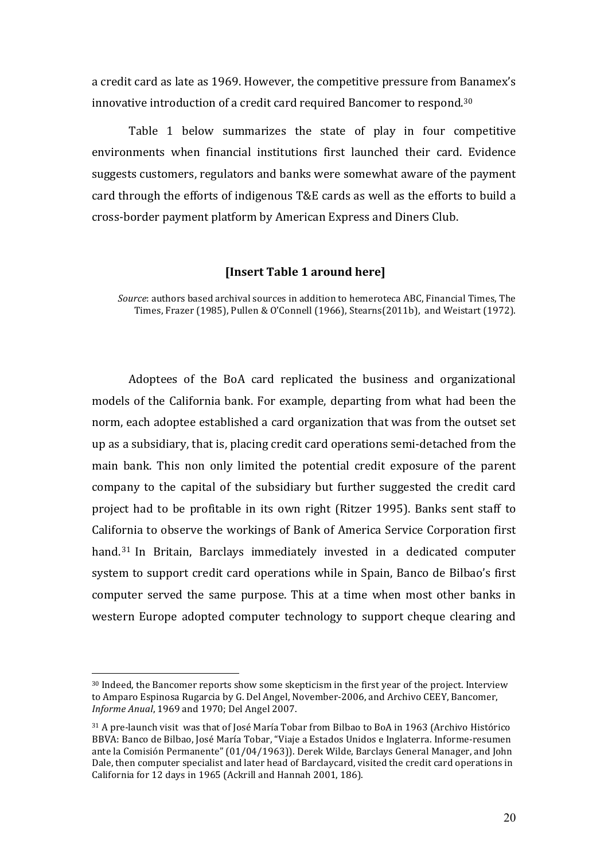a credit card as late as 1969. However, the competitive pressure from Banamex's innovative introduction of a credit card required Bancomer to respond. $30$ 

Table 1 below summarizes the state of play in four competitive environments when financial institutions first launched their card. Evidence suggests customers, regulators and banks were somewhat aware of the payment card through the efforts of indigenous T&E cards as well as the efforts to build a cross-border payment platform by American Express and Diners Club.

#### **[Insert Table 1 around here]**

*Source*: authors based archival sources in addition to hemeroteca ABC, Financial Times, The Times, Frazer (1985), Pullen & O'Connell (1966), Stearns(2011b), and Weistart (1972).

Adoptees of the BoA card replicated the business and organizational models of the California bank. For example, departing from what had been the norm, each adoptee established a card organization that was from the outset set up as a subsidiary, that is, placing credit card operations semi-detached from the main bank. This non only limited the potential credit exposure of the parent company to the capital of the subsidiary but further suggested the credit card project had to be profitable in its own right (Ritzer 1995). Banks sent staff to California to observe the workings of Bank of America Service Corporation first hand.<sup>31</sup> In Britain, Barclays immediately invested in a dedicated computer system to support credit card operations while in Spain, Banco de Bilbao's first computer served the same purpose. This at a time when most other banks in western Europe adopted computer technology to support cheque clearing and

<sup>30</sup> Indeed, the Bancomer reports show some skepticism in the first year of the project. Interview to Amparo Espinosa Rugarcia by G. Del Angel, November-2006, and Archivo CEEY, Bancomer, *Informe Anual*, 1969 and 1970; Del Angel 2007.

<sup>&</sup>lt;sup>31</sup> A pre-launch visit was that of José María Tobar from Bilbao to BoA in 1963 (Archivo Histórico BBVA: Banco de Bilbao, José María Tobar, "Viaje a Estados Unidos e Inglaterra. Informe-resumen ante la Comisión Permanente" (01/04/1963)). Derek Wilde, Barclays General Manager, and John Dale, then computer specialist and later head of Barclaycard, visited the credit card operations in California for 12 days in 1965 (Ackrill and Hannah 2001, 186).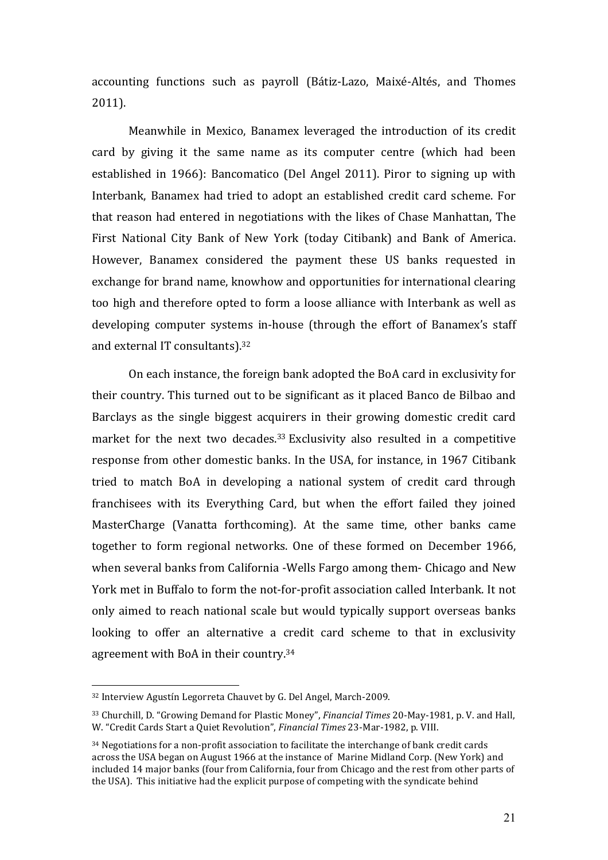accounting functions such as payroll (Bátiz-Lazo, Maixé-Altés, and Thomes 2011).

Meanwhile in Mexico, Banamex leveraged the introduction of its credit card by giving it the same name as its computer centre (which had been established in 1966): Bancomatico (Del Angel 2011). Piror to signing up with Interbank, Banamex had tried to adopt an established credit card scheme. For that reason had entered in negotiations with the likes of Chase Manhattan, The First National City Bank of New York (today Citibank) and Bank of America. However, Banamex considered the payment these US banks requested in exchange for brand name, knowhow and opportunities for international clearing too high and therefore opted to form a loose alliance with Interbank as well as developing computer systems in-house (through the effort of Banamex's staff and external IT consultants).<sup>32</sup>

On each instance, the foreign bank adopted the BoA card in exclusivity for their country. This turned out to be significant as it placed Banco de Bilbao and Barclays as the single biggest acquirers in their growing domestic credit card market for the next two decades. $33$  Exclusivity also resulted in a competitive response from other domestic banks. In the USA, for instance, in 1967 Citibank tried to match BoA in developing a national system of credit card through franchisees with its Everything Card, but when the effort failed they joined MasterCharge (Vanatta forthcoming). At the same time, other banks came together to form regional networks. One of these formed on December 1966, when several banks from California -Wells Fargo among them- Chicago and New York met in Buffalo to form the not-for-profit association called Interbank. It not only aimed to reach national scale but would typically support overseas banks looking to offer an alternative a credit card scheme to that in exclusivity agreement with BoA in their country.<sup>34</sup>

<sup>32</sup> Interview Agustín Legorreta Chauvet by G. Del Angel, March-2009.

<sup>&</sup>lt;sup>33</sup> Churchill, D. "Growing Demand for Plastic Money", *Financial Times* 20-May-1981, p. V. and Hall, W. "Credit Cards Start a Quiet Revolution", *Financial Times* 23-Mar-1982, p. VIII.

 $34$  Negotiations for a non-profit association to facilitate the interchange of bank credit cards across the USA began on August 1966 at the instance of Marine Midland Corp. (New York) and included 14 major banks (four from California, four from Chicago and the rest from other parts of the USA). This initiative had the explicit purpose of competing with the syndicate behind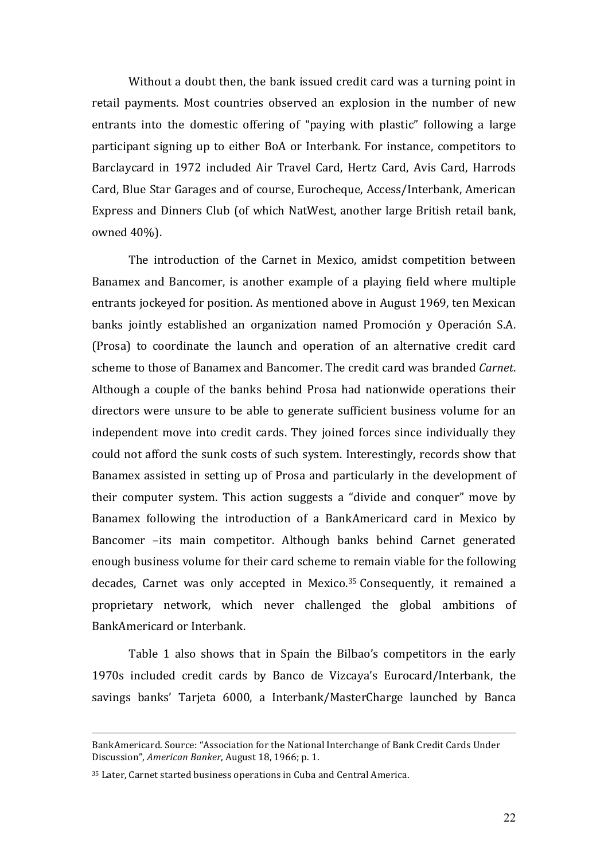Without a doubt then, the bank issued credit card was a turning point in retail payments. Most countries observed an explosion in the number of new entrants into the domestic offering of "paying with plastic" following a large participant signing up to either BoA or Interbank. For instance, competitors to Barclaycard in 1972 included Air Travel Card, Hertz Card, Avis Card, Harrods Card, Blue Star Garages and of course, Eurocheque, Access/Interbank, American Express and Dinners Club (of which NatWest, another large British retail bank, owned 40%).

The introduction of the Carnet in Mexico, amidst competition between Banamex and Bancomer, is another example of a playing field where multiple entrants jockeyed for position. As mentioned above in August 1969, ten Mexican banks jointly established an organization named Promoción y Operación S.A. (Prosa) to coordinate the launch and operation of an alternative credit card scheme to those of Banamex and Bancomer. The credit card was branded *Carnet*. Although a couple of the banks behind Prosa had nationwide operations their directors were unsure to be able to generate sufficient business volume for an independent move into credit cards. They joined forces since individually they could not afford the sunk costs of such system. Interestingly, records show that Banamex assisted in setting up of Prosa and particularly in the development of their computer system. This action suggests a "divide and conquer" move by Banamex following the introduction of a BankAmericard card in Mexico by Bancomer -its main competitor. Although banks behind Carnet generated enough business volume for their card scheme to remain viable for the following decades, Carnet was only accepted in Mexico.<sup>35</sup> Consequently, it remained a proprietary network, which never challenged the global ambitions of BankAmericard or Interbank. 

Table 1 also shows that in Spain the Bilbao's competitors in the early 1970s included credit cards by Banco de Vizcaya's Eurocard/Interbank, the savings banks' Tarjeta 6000, a Interbank/MasterCharge launched by Banca

BankAmericard. Source: "Association for the National Interchange of Bank Credit Cards Under Discussion", *American Banker*, August 18, 1966; p. 1.

 $35$  Later, Carnet started business operations in Cuba and Central America.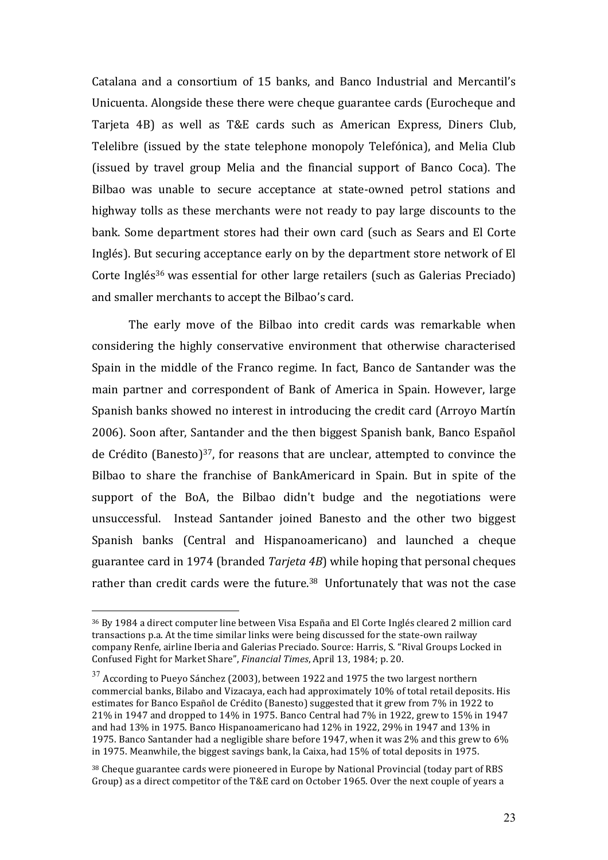Catalana and a consortium of 15 banks, and Banco Industrial and Mercantil's Unicuenta. Alongside these there were cheque guarantee cards (Eurocheque and Tarjeta 4B) as well as T&E cards such as American Express, Diners Club, Telelibre (issued by the state telephone monopoly Telefónica), and Melia Club (issued by travel group Melia and the financial support of Banco Coca). The Bilbao was unable to secure acceptance at state-owned petrol stations and highway tolls as these merchants were not ready to pay large discounts to the bank. Some department stores had their own card (such as Sears and El Corte Inglés). But securing acceptance early on by the department store network of El Corte Inglés<sup>36</sup> was essential for other large retailers (such as Galerias Preciado) and smaller merchants to accept the Bilbao's card.

The early move of the Bilbao into credit cards was remarkable when considering the highly conservative environment that otherwise characterised Spain in the middle of the Franco regime. In fact, Banco de Santander was the main partner and correspondent of Bank of America in Spain. However, large Spanish banks showed no interest in introducing the credit card (Arroyo Martín 2006). Soon after, Santander and the then biggest Spanish bank, Banco Español de Crédito (Banesto) $37$ , for reasons that are unclear, attempted to convince the Bilbao to share the franchise of BankAmericard in Spain. But in spite of the support of the BoA, the Bilbao didn't budge and the negotiations were unsuccessful. Instead Santander joined Banesto and the other two biggest Spanish banks (Central and Hispanoamericano) and launched a cheque guarantee card in 1974 (branded *Tarjeta 4B*) while hoping that personal cheques rather than credit cards were the future.<sup>38</sup> Unfortunately that was not the case

<sup>&</sup>lt;sup>36</sup> By 1984 a direct computer line between Visa España and El Corte Inglés cleared 2 million card transactions p.a. At the time similar links were being discussed for the state-own railway company Renfe, airline Iberia and Galerias Preciado. Source: Harris, S. "Rival Groups Locked in Confused Fight for Market Share", *Financial Times*, April 13, 1984; p. 20.

 $37$  According to Pueyo Sánchez (2003), between 1922 and 1975 the two largest northern commercial banks, Bilabo and Vizacaya, each had approximately 10% of total retail deposits. His estimates for Banco Español de Crédito (Banesto) suggested that it grew from 7% in 1922 to 21% in 1947 and dropped to 14% in 1975. Banco Central had 7% in 1922, grew to 15% in 1947 and had  $13\%$  in 1975. Banco Hispanoamericano had  $12\%$  in 1922, 29% in 1947 and  $13\%$  in 1975. Banco Santander had a negligible share before 1947, when it was 2% and this grew to  $6\%$ in 1975. Meanwhile, the biggest savings bank, la Caixa, had  $15\%$  of total deposits in 1975.

 $38$  Cheque guarantee cards were pioneered in Europe by National Provincial (today part of RBS) Group) as a direct competitor of the T&E card on October 1965. Over the next couple of vears a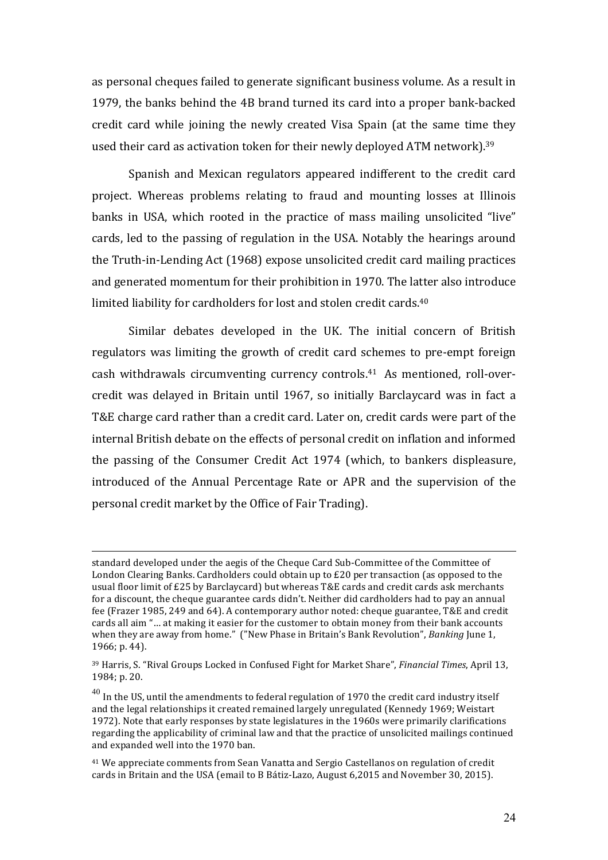as personal cheques failed to generate significant business volume. As a result in 1979, the banks behind the 4B brand turned its card into a proper bank-backed credit card while joining the newly created Visa Spain (at the same time they used their card as activation token for their newly deployed ATM network).<sup>39</sup>

Spanish and Mexican regulators appeared indifferent to the credit card project. Whereas problems relating to fraud and mounting losses at Illinois banks in USA, which rooted in the practice of mass mailing unsolicited "live" cards, led to the passing of regulation in the USA. Notably the hearings around the Truth-in-Lending Act (1968) expose unsolicited credit card mailing practices and generated momentum for their prohibition in 1970. The latter also introduce limited liability for cardholders for lost and stolen credit cards.<sup>40</sup>

Similar debates developed in the UK. The initial concern of British regulators was limiting the growth of credit card schemes to pre-empt foreign cash withdrawals circumventing currency controls.<sup>41</sup> As mentioned, roll-overcredit was delayed in Britain until 1967, so initially Barclaycard was in fact a T&E charge card rather than a credit card. Later on, credit cards were part of the internal British debate on the effects of personal credit on inflation and informed the passing of the Consumer Credit Act 1974 (which, to bankers displeasure, introduced of the Annual Percentage Rate or APR and the supervision of the personal credit market by the Office of Fair Trading).

standard developed under the aegis of the Cheque Card Sub-Committee of the Committee of London Clearing Banks. Cardholders could obtain up to £20 per transaction (as opposed to the usual floor limit of £25 by Barclaycard) but whereas T&E cards and credit cards ask merchants for a discount, the cheque guarantee cards didn't. Neither did cardholders had to pay an annual fee (Frazer 1985, 249 and 64). A contemporary author noted: cheque guarantee, T&E and credit cards all aim "... at making it easier for the customer to obtain money from their bank accounts when they are away from home." ("New Phase in Britain's Bank Revolution", *Banking* June 1, 1966; p. 44).

<sup>&</sup>lt;sup>39</sup> Harris, S. "Rival Groups Locked in Confused Fight for Market Share", *Financial Times*, April 13, 1984; p. 20.

 $^{40}$  In the US, until the amendments to federal regulation of 1970 the credit card industry itself and the legal relationships it created remained largely unregulated (Kennedy 1969; Weistart 1972). Note that early responses by state legislatures in the 1960s were primarily clarifications regarding the applicability of criminal law and that the practice of unsolicited mailings continued and expanded well into the 1970 ban.

<sup>&</sup>lt;sup>41</sup> We appreciate comments from Sean Vanatta and Sergio Castellanos on regulation of credit cards in Britain and the USA (email to B Bátiz-Lazo, August 6,2015 and November 30, 2015).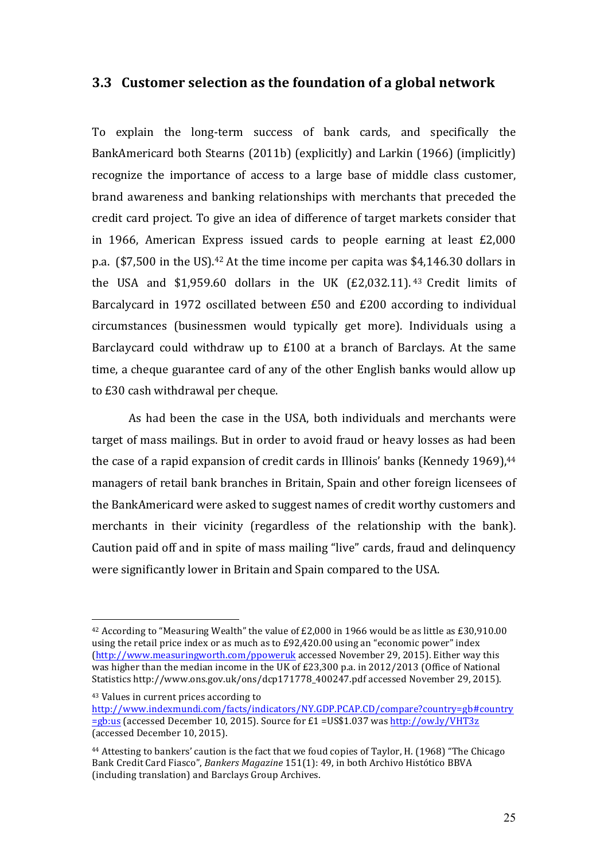## **3.3** Customer selection as the foundation of a global network

To explain the long-term success of bank cards, and specifically the BankAmericard both Stearns (2011b) (explicitly) and Larkin (1966) (implicitly) recognize the importance of access to a large base of middle class customer, brand awareness and banking relationships with merchants that preceded the credit card project. To give an idea of difference of target markets consider that in 1966, American Express issued cards to people earning at least  $£2,000$ p.a.  $(\text{$}7,500$  in the US).<sup>42</sup> At the time income per capita was  $\$4,146.30$  dollars in the USA and \$1,959.60 dollars in the UK  $(E2,032.11)$ . <sup>43</sup> Credit limits of Barcalycard in 1972 oscillated between £50 and £200 according to individual circumstances (businessmen would typically get more). Individuals using a Barclaycard could withdraw up to  $£100$  at a branch of Barclays. At the same time, a cheque guarantee card of any of the other English banks would allow up to £30 cash withdrawal per cheque.

As had been the case in the USA, both individuals and merchants were target of mass mailings. But in order to avoid fraud or heavy losses as had been the case of a rapid expansion of credit cards in Illinois' banks (Kennedy 1969),<sup>44</sup> managers of retail bank branches in Britain, Spain and other foreign licensees of the BankAmericard were asked to suggest names of credit worthy customers and merchants in their vicinity (regardless of the relationship with the bank). Caution paid off and in spite of mass mailing "live" cards, fraud and delinquency were significantly lower in Britain and Spain compared to the USA.

 $\overline{a}$ 

<sup>43</sup> Values in current prices according to http://www.indexmundi.com/facts/indicators/NY.GDP.PCAP.CD/compare?country=gb#country  $=$ gb:us (accessed December 10, 2015). Source for £1 = US\$1.037 was http://ow.ly/VHT3z (accessed December 10, 2015).

<sup>&</sup>lt;sup>42</sup> According to "Measuring Wealth" the value of £2,000 in 1966 would be as little as £30,910.00 using the retail price index or as much as to  $E92,420.00$  using an "economic power" index (http://www.measuringworth.com/ppoweruk accessed November 29, 2015). Either way this was higher than the median income in the UK of £23,300 p.a. in 2012/2013 (Office of National Statistics http://www.ons.gov.uk/ons/dcp171778\_400247.pdf accessed November 29, 2015).

 $44$  Attesting to bankers' caution is the fact that we foud copies of Taylor, H. (1968) "The Chicago Bank Credit Card Fiasco", *Bankers Magazine* 151(1): 49, in both Archivo Histótico BBVA (including translation) and Barclays Group Archives.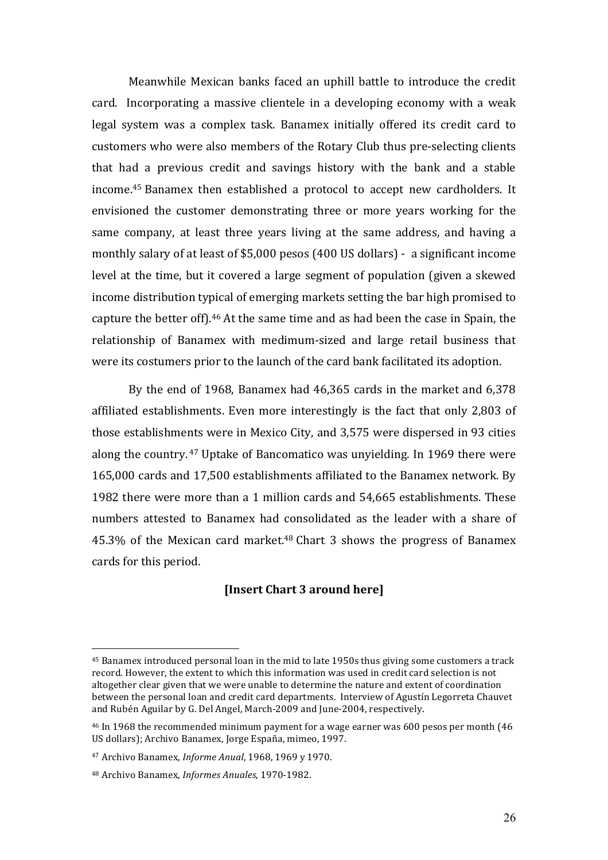Meanwhile Mexican banks faced an uphill battle to introduce the credit card. Incorporating a massive clientele in a developing economy with a weak legal system was a complex task. Banamex initially offered its credit card to customers who were also members of the Rotary Club thus pre-selecting clients that had a previous credit and savings history with the bank and a stable income.<sup>45</sup> Banamex then established a protocol to accept new cardholders. It envisioned the customer demonstrating three or more years working for the same company, at least three years living at the same address, and having a monthly salary of at least of \$5,000 pesos (400 US dollars) - a significant income level at the time, but it covered a large segment of population (given a skewed income distribution typical of emerging markets setting the bar high promised to capture the better off).<sup>46</sup> At the same time and as had been the case in Spain, the relationship of Banamex with medimum-sized and large retail business that were its costumers prior to the launch of the card bank facilitated its adoption.

By the end of 1968, Banamex had  $46,365$  cards in the market and  $6,378$ affiliated establishments. Even more interestingly is the fact that only 2,803 of those establishments were in Mexico City, and 3,575 were dispersed in 93 cities along the country.  $47$  Uptake of Bancomatico was unvielding. In 1969 there were 165,000 cards and 17,500 establishments affiliated to the Banamex network. By 1982 there were more than a 1 million cards and 54,665 establishments. These numbers attested to Banamex had consolidated as the leader with a share of 45.3% of the Mexican card market. $48$  Chart 3 shows the progress of Banamex cards for this period.

## **[Insert Chart 3 around here]**

 $45$  Banamex introduced personal loan in the mid to late 1950s thus giving some customers a track record. However, the extent to which this information was used in credit card selection is not altogether clear given that we were unable to determine the nature and extent of coordination between the personal loan and credit card departments. Interview of Agustín Legorreta Chauvet and Rubén Aguilar by G. Del Angel, March-2009 and June-2004, respectively.

<sup>&</sup>lt;sup>46</sup> In 1968 the recommended minimum payment for a wage earner was 600 pesos per month (46 US dollars); Archivo Banamex, Jorge España, mimeo, 1997.

<sup>47</sup> Archivo Banamex, *Informe Anual*, 1968, 1969 y 1970.

<sup>&</sup>lt;sup>48</sup> Archivo Banamex, *Informes Anuales*, 1970-1982.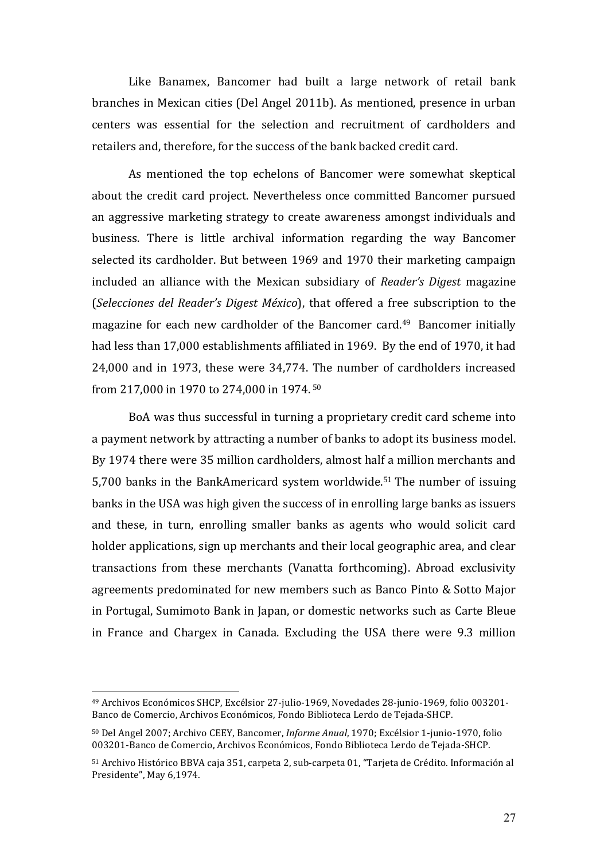Like Banamex, Bancomer had built a large network of retail bank branches in Mexican cities (Del Angel 2011b). As mentioned, presence in urban centers was essential for the selection and recruitment of cardholders and retailers and, therefore, for the success of the bank backed credit card.

As mentioned the top echelons of Bancomer were somewhat skeptical about the credit card project. Nevertheless once committed Bancomer pursued an aggressive marketing strategy to create awareness amongst individuals and business. There is little archival information regarding the way Bancomer selected its cardholder. But between 1969 and 1970 their marketing campaign included an alliance with the Mexican subsidiary of *Reader's Digest* magazine (*Selecciones del Reader's Digest México*), that offered a free subscription to the magazine for each new cardholder of the Bancomer card.<sup>49</sup> Bancomer initially had less than 17,000 establishments affiliated in 1969. By the end of 1970, it had 24,000 and in 1973, these were 34,774. The number of cardholders increased from 217,000 in 1970 to 274,000 in 1974.<sup>50</sup>

BoA was thus successful in turning a proprietary credit card scheme into a payment network by attracting a number of banks to adopt its business model. By 1974 there were 35 million cardholders, almost half a million merchants and 5,700 banks in the BankAmericard system worldwide.<sup>51</sup> The number of issuing banks in the USA was high given the success of in enrolling large banks as issuers and these, in turn, enrolling smaller banks as agents who would solicit card holder applications, sign up merchants and their local geographic area, and clear transactions from these merchants (Vanatta forthcoming). Abroad exclusivity agreements predominated for new members such as Banco Pinto & Sotto Major in Portugal, Sumimoto Bank in Japan, or domestic networks such as Carte Bleue in France and Chargex in Canada. Excluding the USA there were 9.3 million

<sup>&</sup>lt;sup>49</sup> Archivos Económicos SHCP, Excélsior 27-julio-1969, Novedades 28-junio-1969, folio 003201-Banco de Comercio, Archivos Económicos, Fondo Biblioteca Lerdo de Tejada-SHCP.

<sup>50</sup> Del Angel 2007; Archivo CEEY, Bancomer, *Informe Anual*, 1970; Excélsior 1-junio-1970, folio 003201-Banco de Comercio, Archivos Económicos, Fondo Biblioteca Lerdo de Tejada-SHCP.

<sup>51</sup> Archivo Histórico BBVA caja 351, carpeta 2, sub-carpeta 01, "Tarjeta de Crédito. Información al Presidente", May 6,1974.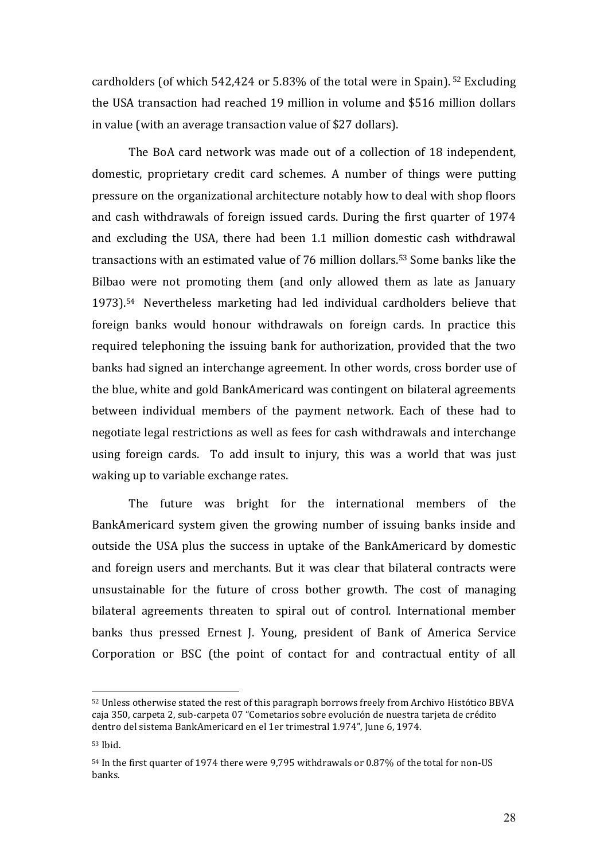cardholders (of which  $542,424$  or  $5.83\%$  of the total were in Spain). <sup>52</sup> Excluding the USA transaction had reached 19 million in volume and \$516 million dollars in value (with an average transaction value of \$27 dollars).

The BoA card network was made out of a collection of 18 independent, domestic, proprietary credit card schemes. A number of things were putting pressure on the organizational architecture notably how to deal with shop floors and cash withdrawals of foreign issued cards. During the first quarter of 1974 and excluding the USA, there had been 1.1 million domestic cash withdrawal transactions with an estimated value of 76 million dollars.<sup>53</sup> Some banks like the Bilbao were not promoting them (and only allowed them as late as January 1973).<sup>54</sup> Nevertheless marketing had led individual cardholders believe that foreign banks would honour withdrawals on foreign cards. In practice this required telephoning the issuing bank for authorization, provided that the two banks had signed an interchange agreement. In other words, cross border use of the blue, white and gold BankAmericard was contingent on bilateral agreements between individual members of the payment network. Each of these had to negotiate legal restrictions as well as fees for cash withdrawals and interchange using foreign cards. To add insult to injury, this was a world that was just waking up to variable exchange rates.

The future was bright for the international members of the BankAmericard system given the growing number of issuing banks inside and outside the USA plus the success in uptake of the BankAmericard by domestic and foreign users and merchants. But it was clear that bilateral contracts were unsustainable for the future of cross bother growth. The cost of managing bilateral agreements threaten to spiral out of control. International member banks thus pressed Ernest J. Young, president of Bank of America Service Corporation or BSC (the point of contact for and contractual entity of all

<sup>52</sup> Unless otherwise stated the rest of this paragraph borrows freely from Archivo Histótico BBVA caja 350, carpeta 2, sub-carpeta 07 "Cometarios sobre evolución de nuestra tarjeta de crédito dentro del sistema BankAmericard en el 1er trimestral 1.974", June 6, 1974.

<sup>53</sup> Ibid.

<sup>54</sup> In the first quarter of 1974 there were 9,795 withdrawals or 0.87% of the total for non-US banks.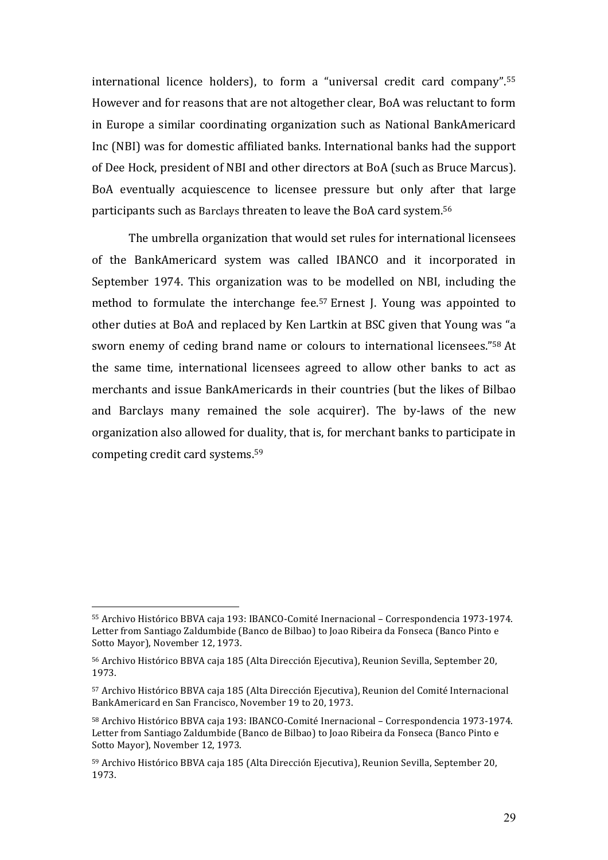international licence holders), to form a "universal credit card company".<sup>55</sup> However and for reasons that are not altogether clear, BoA was reluctant to form in Europe a similar coordinating organization such as National BankAmericard Inc (NBI) was for domestic affiliated banks. International banks had the support of Dee Hock, president of NBI and other directors at BoA (such as Bruce Marcus). BoA eventually acquiescence to licensee pressure but only after that large participants such as Barclays threaten to leave the BoA card system.<sup>56</sup>

The umbrella organization that would set rules for international licensees of the BankAmericard system was called IBANCO and it incorporated in September 1974. This organization was to be modelled on NBI, including the method to formulate the interchange fee.<sup>57</sup> Ernest J. Young was appointed to other duties at BoA and replaced by Ken Lartkin at BSC given that Young was "a sworn enemy of ceding brand name or colours to international licensees."<sup>58</sup> At the same time, international licensees agreed to allow other banks to act as merchants and issue BankAmericards in their countries (but the likes of Bilbao and Barclays many remained the sole acquirer). The by-laws of the new organization also allowed for duality, that is, for merchant banks to participate in competing credit card systems. $59$ 

<sup>55</sup> Archivo Histórico BBVA caja 193: IBANCO-Comité Inernacional – Correspondencia 1973-1974. Letter from Santiago Zaldumbide (Banco de Bilbao) to Joao Ribeira da Fonseca (Banco Pinto e Sotto Mayor), November 12, 1973.

<sup>56</sup> Archivo Histórico BBVA caja 185 (Alta Dirección Ejecutiva), Reunion Sevilla, September 20, 1973.

<sup>57</sup> Archivo Histórico BBVA caja 185 (Alta Dirección Ejecutiva), Reunion del Comité Internacional BankAmericard en San Francisco, November 19 to 20, 1973.

<sup>58</sup> Archivo Histórico BBVA caja 193: IBANCO-Comité Inernacional – Correspondencia 1973-1974. Letter from Santiago Zaldumbide (Banco de Bilbao) to Joao Ribeira da Fonseca (Banco Pinto e Sotto Mayor), November 12, 1973.

<sup>59</sup> Archivo Histórico BBVA caja 185 (Alta Dirección Ejecutiva), Reunion Sevilla, September 20, 1973.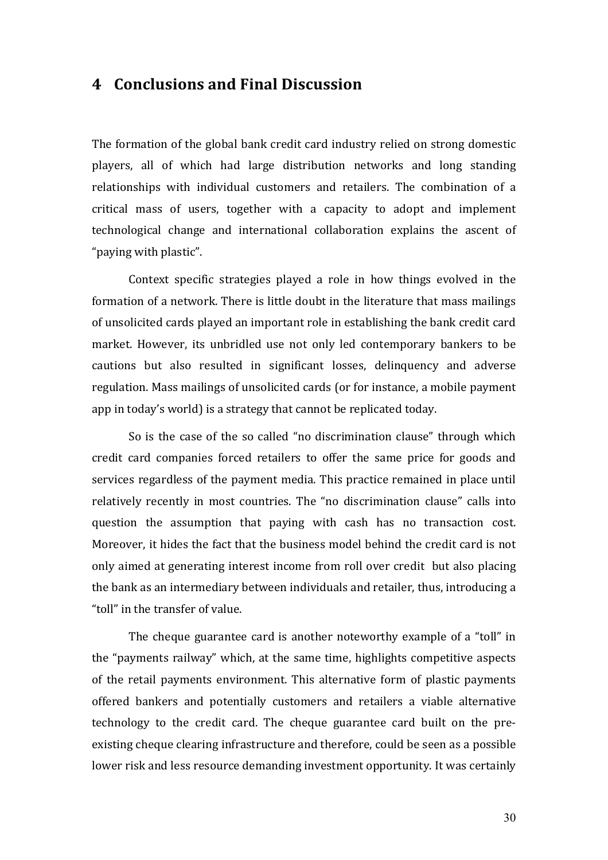# **4 Conclusions and Final Discussion**

The formation of the global bank credit card industry relied on strong domestic players, all of which had large distribution networks and long standing relationships with individual customers and retailers. The combination of a critical mass of users, together with a capacity to adopt and implement technological change and international collaboration explains the ascent of "paying with plastic".

Context specific strategies played a role in how things evolved in the formation of a network. There is little doubt in the literature that mass mailings of unsolicited cards played an important role in establishing the bank credit card market. However, its unbridled use not only led contemporary bankers to be cautions but also resulted in significant losses, delinquency and adverse regulation. Mass mailings of unsolicited cards (or for instance, a mobile payment app in today's world) is a strategy that cannot be replicated today.

So is the case of the so called "no discrimination clause" through which credit card companies forced retailers to offer the same price for goods and services regardless of the payment media. This practice remained in place until relatively recently in most countries. The "no discrimination clause" calls into question the assumption that paying with cash has no transaction cost. Moreover, it hides the fact that the business model behind the credit card is not only aimed at generating interest income from roll over credit but also placing the bank as an intermediary between individuals and retailer, thus, introducing a "toll" in the transfer of value.

The cheque guarantee card is another noteworthy example of a "toll" in the "payments railway" which, at the same time, highlights competitive aspects of the retail payments environment. This alternative form of plastic payments offered bankers and potentially customers and retailers a viable alternative technology to the credit card. The cheque guarantee card built on the preexisting cheque clearing infrastructure and therefore, could be seen as a possible lower risk and less resource demanding investment opportunity. It was certainly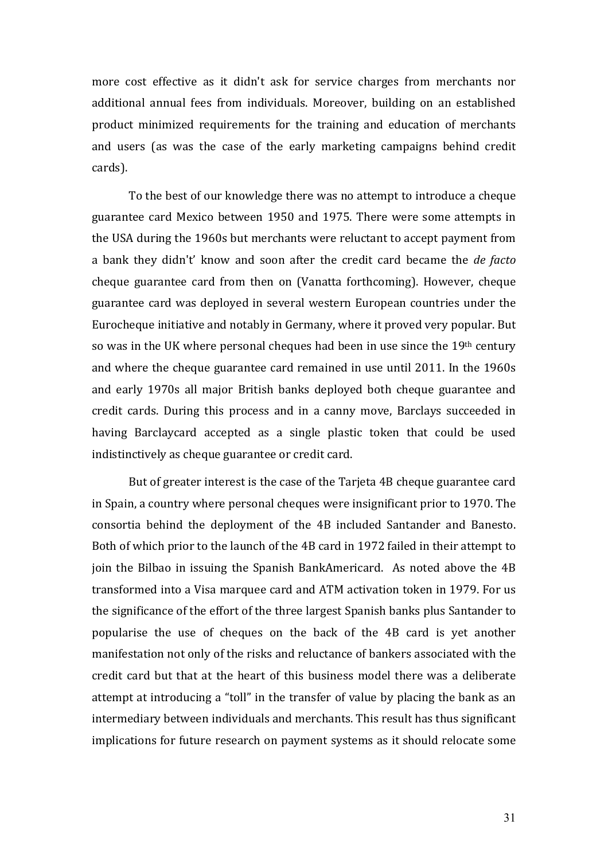more cost effective as it didn't ask for service charges from merchants nor additional annual fees from individuals. Moreover, building on an established product minimized requirements for the training and education of merchants and users (as was the case of the early marketing campaigns behind credit cards). 

To the best of our knowledge there was no attempt to introduce a cheque guarantee card Mexico between 1950 and 1975. There were some attempts in the USA during the 1960s but merchants were reluctant to accept payment from a bank they didn't' know and soon after the credit card became the *de facto* cheque guarantee card from then on (Vanatta forthcoming). However, cheque guarantee card was deployed in several western European countries under the Eurocheque initiative and notably in Germany, where it proved very popular. But so was in the UK where personal cheques had been in use since the  $19<sup>th</sup>$  century and where the cheque guarantee card remained in use until 2011. In the 1960s and early 1970s all major British banks deployed both cheque guarantee and credit cards. During this process and in a canny move, Barclays succeeded in having Barclaycard accepted as a single plastic token that could be used indistinctively as cheque guarantee or credit card.

But of greater interest is the case of the Tarjeta 4B cheque guarantee card in Spain, a country where personal cheques were insignificant prior to 1970. The consortia behind the deployment of the 4B included Santander and Banesto. Both of which prior to the launch of the 4B card in 1972 failed in their attempt to join the Bilbao in issuing the Spanish BankAmericard. As noted above the 4B transformed into a Visa marquee card and ATM activation token in 1979. For us the significance of the effort of the three largest Spanish banks plus Santander to popularise the use of cheques on the back of the 4B card is yet another manifestation not only of the risks and reluctance of bankers associated with the credit card but that at the heart of this business model there was a deliberate attempt at introducing a "toll" in the transfer of value by placing the bank as an intermediary between individuals and merchants. This result has thus significant implications for future research on payment systems as it should relocate some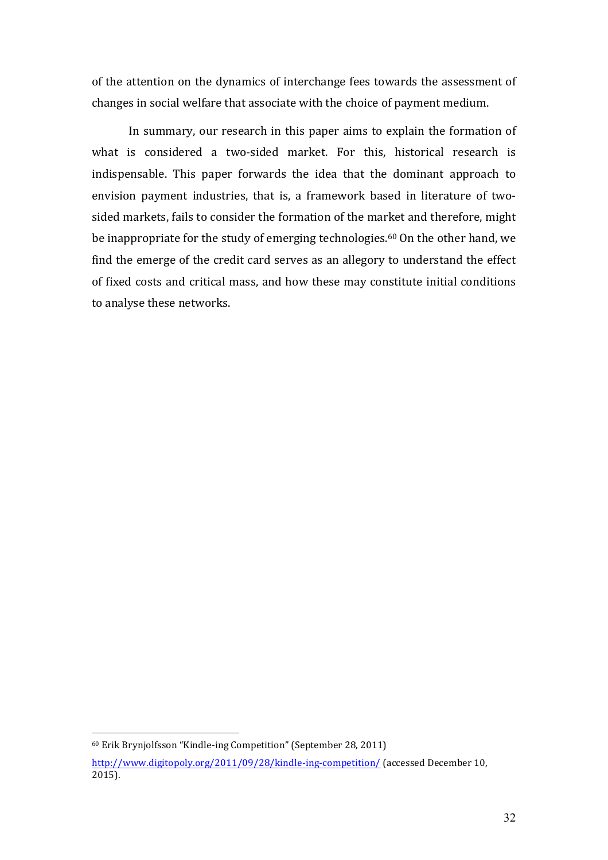of the attention on the dynamics of interchange fees towards the assessment of changes in social welfare that associate with the choice of payment medium.

In summary, our research in this paper aims to explain the formation of what is considered a two-sided market. For this, historical research is indispensable. This paper forwards the idea that the dominant approach to envision payment industries, that is, a framework based in literature of twosided markets, fails to consider the formation of the market and therefore, might be inappropriate for the study of emerging technologies.<sup>60</sup> On the other hand, we find the emerge of the credit card serves as an allegory to understand the effect of fixed costs and critical mass, and how these may constitute initial conditions to analyse these networks.

 $60$  Erik Brynjolfsson "Kindle-ing Competition" (September 28, 2011)

http://www.digitopoly.org/2011/09/28/kindle-ing-competition/ (accessed December 10, 2015).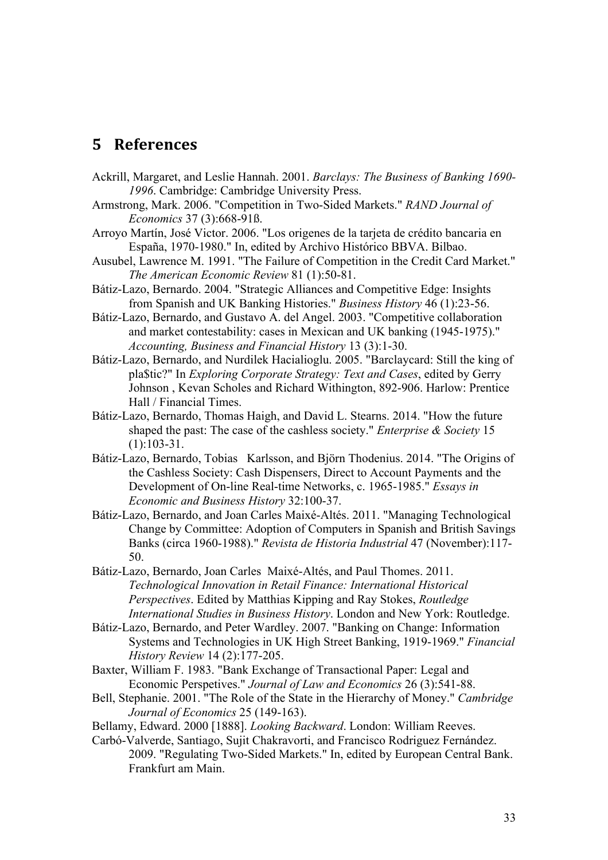# **5 References**

- Ackrill, Margaret, and Leslie Hannah. 2001. *Barclays: The Business of Banking 1690- 1996*. Cambridge: Cambridge University Press.
- Armstrong, Mark. 2006. "Competition in Two-Sided Markets." *RAND Journal of Economics* 37 (3):668-91ß.
- Arroyo Martín, José Victor. 2006. "Los origenes de la tarjeta de crédito bancaria en España, 1970-1980." In, edited by Archivo Histórico BBVA. Bilbao.
- Ausubel, Lawrence M. 1991. "The Failure of Competition in the Credit Card Market." *The American Economic Review* 81 (1):50-81.
- Bátiz-Lazo, Bernardo. 2004. "Strategic Alliances and Competitive Edge: Insights from Spanish and UK Banking Histories." *Business History* 46 (1):23-56.
- Bátiz-Lazo, Bernardo, and Gustavo A. del Angel. 2003. "Competitive collaboration and market contestability: cases in Mexican and UK banking (1945-1975)." *Accounting, Business and Financial History* 13 (3):1-30.
- Bátiz-Lazo, Bernardo, and Nurdilek Hacialioglu. 2005. "Barclaycard: Still the king of pla\$tic?" In *Exploring Corporate Strategy: Text and Cases*, edited by Gerry Johnson , Kevan Scholes and Richard Withington, 892-906. Harlow: Prentice Hall / Financial Times.
- Bátiz-Lazo, Bernardo, Thomas Haigh, and David L. Stearns. 2014. "How the future shaped the past: The case of the cashless society." *Enterprise & Society* 15 (1):103-31.
- Bátiz-Lazo, Bernardo, Tobias Karlsson, and Björn Thodenius. 2014. "The Origins of the Cashless Society: Cash Dispensers, Direct to Account Payments and the Development of On-line Real-time Networks, c. 1965-1985." *Essays in Economic and Business History* 32:100-37.
- Bátiz-Lazo, Bernardo, and Joan Carles Maixé-Altés. 2011. "Managing Technological Change by Committee: Adoption of Computers in Spanish and British Savings Banks (circa 1960-1988)." *Revista de Historia Industrial* 47 (November):117- 50.
- Bátiz-Lazo, Bernardo, Joan Carles Maixé-Altés, and Paul Thomes. 2011. *Technological Innovation in Retail Finance: International Historical Perspectives*. Edited by Matthias Kipping and Ray Stokes, *Routledge International Studies in Business History*. London and New York: Routledge.
- Bátiz-Lazo, Bernardo, and Peter Wardley. 2007. "Banking on Change: Information Systems and Technologies in UK High Street Banking, 1919-1969." *Financial History Review* 14 (2):177-205.
- Baxter, William F. 1983. "Bank Exchange of Transactional Paper: Legal and Economic Perspetives." *Journal of Law and Economics* 26 (3):541-88.
- Bell, Stephanie. 2001. "The Role of the State in the Hierarchy of Money." *Cambridge Journal of Economics* 25 (149-163).
- Bellamy, Edward. 2000 [1888]. *Looking Backward*. London: William Reeves.
- Carbó-Valverde, Santiago, Sujit Chakravorti, and Francisco Rodriguez Fernández. 2009. "Regulating Two-Sided Markets." In, edited by European Central Bank. Frankfurt am Main.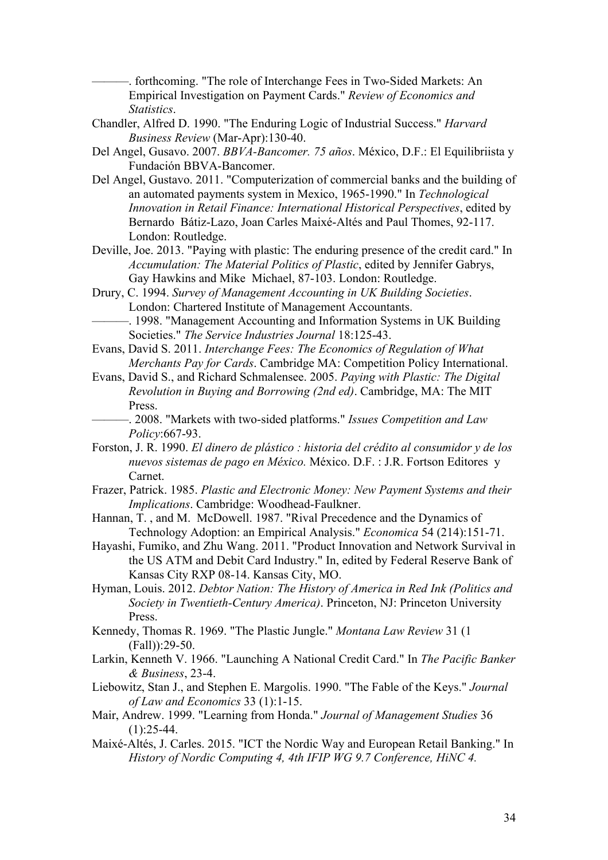-, forthcoming. "The role of Interchange Fees in Two-Sided Markets: An Empirical Investigation on Payment Cards." *Review of Economics and Statistics*.

Chandler, Alfred D. 1990. "The Enduring Logic of Industrial Success." *Harvard Business Review* (Mar-Apr):130-40.

Del Angel, Gusavo. 2007. *BBVA-Bancomer. 75 años*. México, D.F.: El Equilibriista y Fundación BBVA-Bancomer.

- Del Angel, Gustavo. 2011. "Computerization of commercial banks and the building of an automated payments system in Mexico, 1965-1990." In *Technological Innovation in Retail Finance: International Historical Perspectives*, edited by Bernardo Bátiz-Lazo, Joan Carles Maixé-Altés and Paul Thomes, 92-117. London: Routledge.
- Deville, Joe. 2013. "Paying with plastic: The enduring presence of the credit card." In *Accumulation: The Material Politics of Plastic*, edited by Jennifer Gabrys, Gay Hawkins and Mike Michael, 87-103. London: Routledge.
- Drury, C. 1994. *Survey of Management Accounting in UK Building Societies*. London: Chartered Institute of Management Accountants.
- -. 1998. "Management Accounting and Information Systems in UK Building Societies." *The Service Industries Journal* 18:125-43.
- Evans, David S. 2011. *Interchange Fees: The Economics of Regulation of What Merchants Pay for Cards*. Cambridge MA: Competition Policy International.
- Evans, David S., and Richard Schmalensee. 2005. *Paying with Plastic: The Digital Revolution in Buying and Borrowing (2nd ed)*. Cambridge, MA: The MIT Press.
	- ———. 2008. "Markets with two-sided platforms." *Issues Competition and Law Policy*:667-93.
- Forston, J. R. 1990. *El dinero de plástico : historia del crédito al consumidor y de los nuevos sistemas de pago en México.* México. D.F. : J.R. Fortson Editores y Carnet.
- Frazer, Patrick. 1985. *Plastic and Electronic Money: New Payment Systems and their Implications*. Cambridge: Woodhead-Faulkner.
- Hannan, T. , and M. McDowell. 1987. "Rival Precedence and the Dynamics of Technology Adoption: an Empirical Analysis." *Economica* 54 (214):151-71.
- Hayashi, Fumiko, and Zhu Wang. 2011. "Product Innovation and Network Survival in the US ATM and Debit Card Industry." In, edited by Federal Reserve Bank of Kansas City RXP 08-14. Kansas City, MO.
- Hyman, Louis. 2012. *Debtor Nation: The History of America in Red Ink (Politics and Society in Twentieth-Century America)*. Princeton, NJ: Princeton University Press.
- Kennedy, Thomas R. 1969. "The Plastic Jungle." *Montana Law Review* 31 (1 (Fall)):29-50.
- Larkin, Kenneth V. 1966. "Launching A National Credit Card." In *The Pacific Banker & Business*, 23-4.
- Liebowitz, Stan J., and Stephen E. Margolis. 1990. "The Fable of the Keys." *Journal of Law and Economics* 33 (1):1-15.
- Mair, Andrew. 1999. "Learning from Honda." *Journal of Management Studies* 36  $(1):25-44.$
- Maixé-Altés, J. Carles. 2015. "ICT the Nordic Way and European Retail Banking." In *History of Nordic Computing 4, 4th IFIP WG 9.7 Conference, HiNC 4.*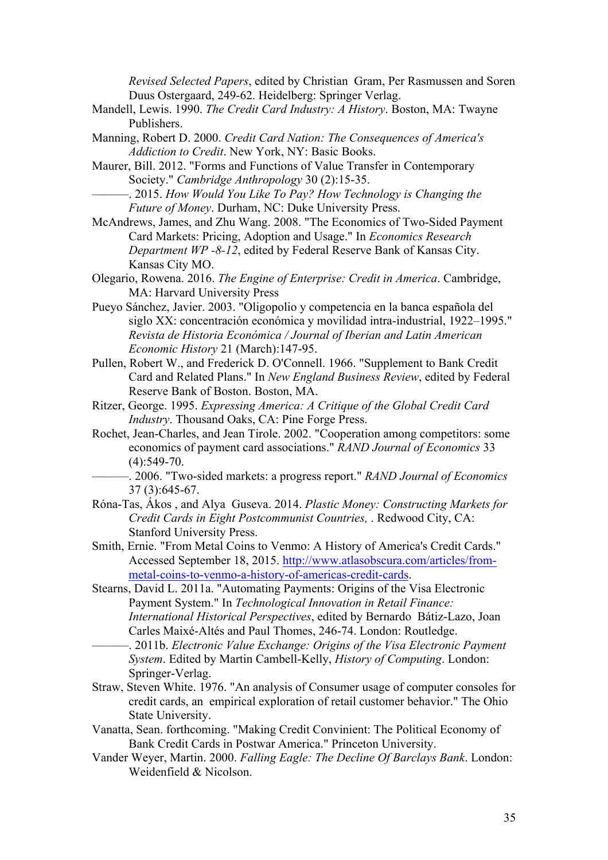*Revised Selected Papers*, edited by Christian Gram, Per Rasmussen and Soren Duus Ostergaard, 249-62. Heidelberg: Springer Verlag.

- Mandell, Lewis. 1990. *The Credit Card Industry: A History*. Boston, MA: Twayne Publishers.
- Manning, Robert D. 2000. *Credit Card Nation: The Consequences of America's Addiction to Credit*. New York, NY: Basic Books.
- Maurer, Bill. 2012. "Forms and Functions of Value Transfer in Contemporary Society." *Cambridge Anthropology* 30 (2):15-35.
	- ———. 2015. *How Would You Like To Pay? How Technology is Changing the Future of Money*. Durham, NC: Duke University Press.
- McAndrews, James, and Zhu Wang. 2008. "The Economics of Two-Sided Payment Card Markets: Pricing, Adoption and Usage." In *Economics Research Department WP -8-12*, edited by Federal Reserve Bank of Kansas City. Kansas City MO.
- Olegario, Rowena. 2016. *The Engine of Enterprise: Credit in America*. Cambridge, MA: Harvard University Press
- Pueyo Sánchez, Javier. 2003. "Oligopolio y competencia en la banca española del siglo XX: concentración económica y movilidad intra-industrial, 1922–1995." *Revista de Historia Económica / Journal of Iberian and Latin American Economic History* 21 (March):147-95.
- Pullen, Robert W., and Frederick D. O'Connell. 1966. "Supplement to Bank Credit Card and Related Plans." In *New England Business Review*, edited by Federal Reserve Bank of Boston. Boston, MA.
- Ritzer, George. 1995. *Expressing America: A Critique of the Global Credit Card Industry*. Thousand Oaks, CA: Pine Forge Press.
- Rochet, Jean-Charles, and Jean Tirole. 2002. "Cooperation among competitors: some economics of payment card associations." *RAND Journal of Economics* 33  $(4):549-70.$ 
	- ———. 2006. "Two-sided markets: a progress report." *RAND Journal of Economics* 37 (3):645-67.
- Róna-Tas, Ákos , and Alya Guseva. 2014. *Plastic Money: Constructing Markets for Credit Cards in Eight Postcommunist Countries,* . Redwood City, CA: Stanford University Press.
- Smith, Ernie. "From Metal Coins to Venmo: A History of America's Credit Cards." Accessed September 18, 2015. http://www.atlasobscura.com/articles/frommetal-coins-to-venmo-a-history-of-americas-credit-cards.
- Stearns, David L. 2011a. "Automating Payments: Origins of the Visa Electronic Payment System." In *Technological Innovation in Retail Finance: International Historical Perspectives*, edited by Bernardo Bátiz-Lazo, Joan Carles Maixé-Altés and Paul Thomes, 246-74. London: Routledge.
	- ———. 2011b. *Electronic Value Exchange: Origins of the Visa Electronic Payment System*. Edited by Martin Cambell-Kelly, *History of Computing*. London: Springer-Verlag.
- Straw, Steven White. 1976. "An analysis of Consumer usage of computer consoles for credit cards, an empirical exploration of retail customer behavior." The Ohio State University.
- Vanatta, Sean. forthcoming. "Making Credit Convinient: The Political Economy of Bank Credit Cards in Postwar America." Princeton University.
- Vander Weyer, Martin. 2000. *Falling Eagle: The Decline Of Barclays Bank*. London: Weidenfield & Nicolson.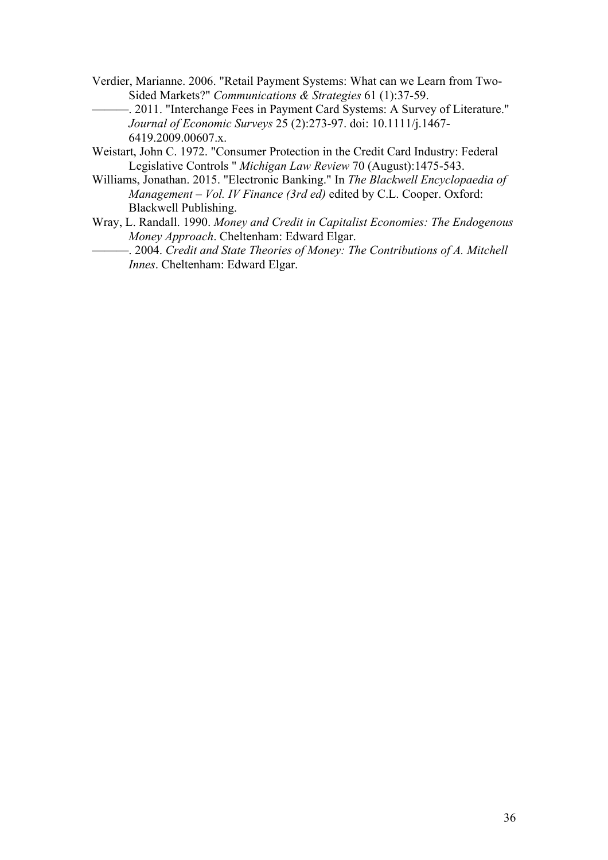- Verdier, Marianne. 2006. "Retail Payment Systems: What can we Learn from Two-Sided Markets?" *Communications & Strategies* 61 (1):37-59.
- -. 2011. "Interchange Fees in Payment Card Systems: A Survey of Literature." *Journal of Economic Surveys* 25 (2):273-97. doi: 10.1111/j.1467- 6419.2009.00607.x.
- Weistart, John C. 1972. "Consumer Protection in the Credit Card Industry: Federal Legislative Controls " *Michigan Law Review* 70 (August):1475-543.
- Williams, Jonathan. 2015. "Electronic Banking." In *The Blackwell Encyclopaedia of Management – Vol. IV Finance (3rd ed)* edited by C.L. Cooper. Oxford: Blackwell Publishing.
- Wray, L. Randall. 1990. *Money and Credit in Capitalist Economies: The Endogenous Money Approach*. Cheltenham: Edward Elgar.
	- ———. 2004. *Credit and State Theories of Money: The Contributions of A. Mitchell Innes*. Cheltenham: Edward Elgar.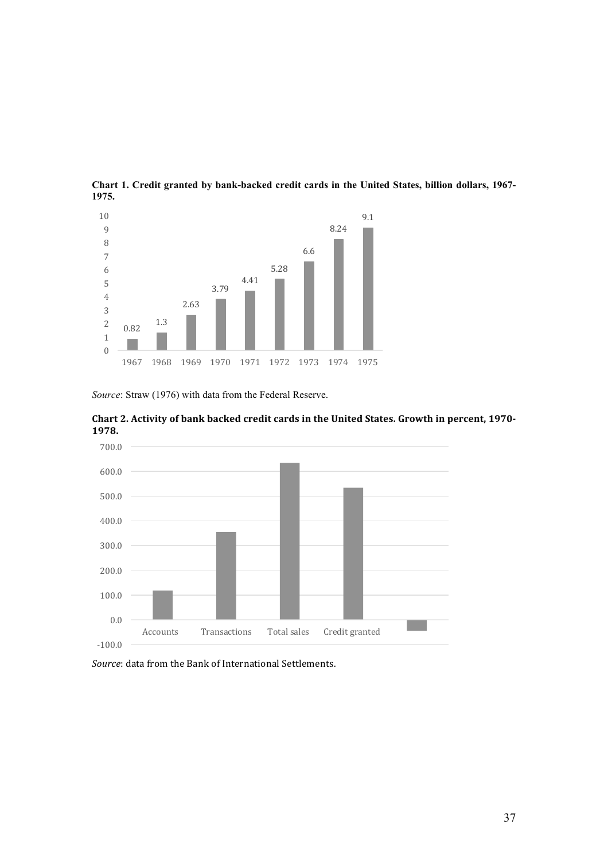

**Chart 1. Credit granted by bank-backed credit cards in the United States, billion dollars, 1967- 1975.** 

*Source*: Straw (1976) with data from the Federal Reserve.





Source: data from the Bank of International Settlements.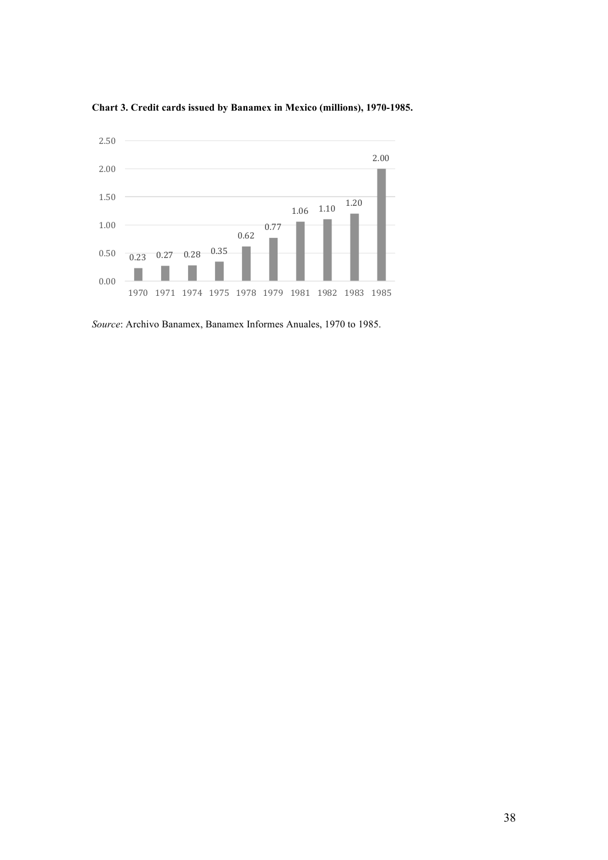

**Chart 3. Credit cards issued by Banamex in Mexico (millions), 1970-1985.** 

*Source*: Archivo Banamex, Banamex Informes Anuales, 1970 to 1985.